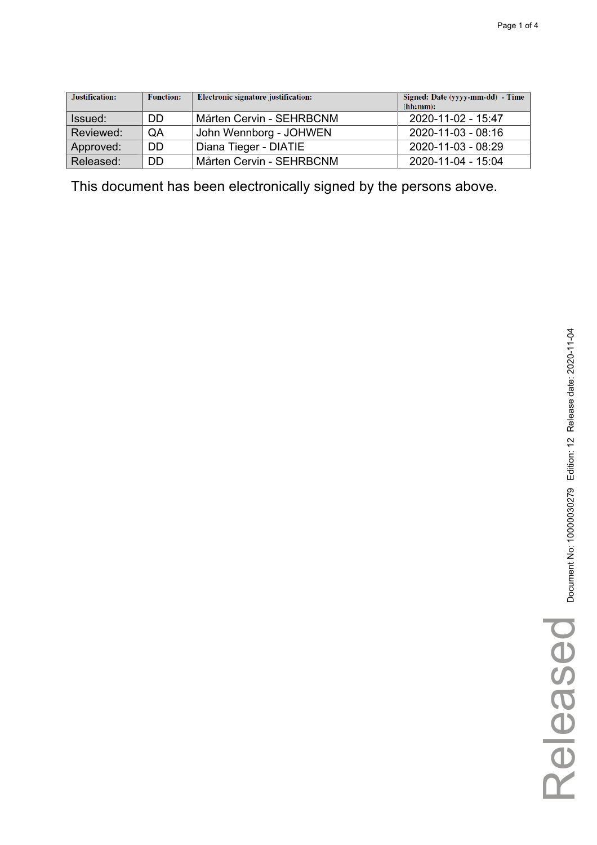| Justification: | <b>Function:</b> | Electronic signature justification: | Signed: Date (yyyy-mm-dd) - Time<br>(hh:mm): |
|----------------|------------------|-------------------------------------|----------------------------------------------|
| Issued:        | DD               | Mårten Cervin - SEHRBCNM            | 2020-11-02 - 15:47                           |
| Reviewed:      | QA               | John Wennborg - JOHWEN              | 2020-11-03 - 08:16                           |
| Approved:      | DD               | Diana Tieger - DIATIE               | 2020-11-03 - 08:29                           |
| Released:      | DD               | Mårten Cervin - SEHRBCNM            | 2020-11-04 - 15:04                           |

Released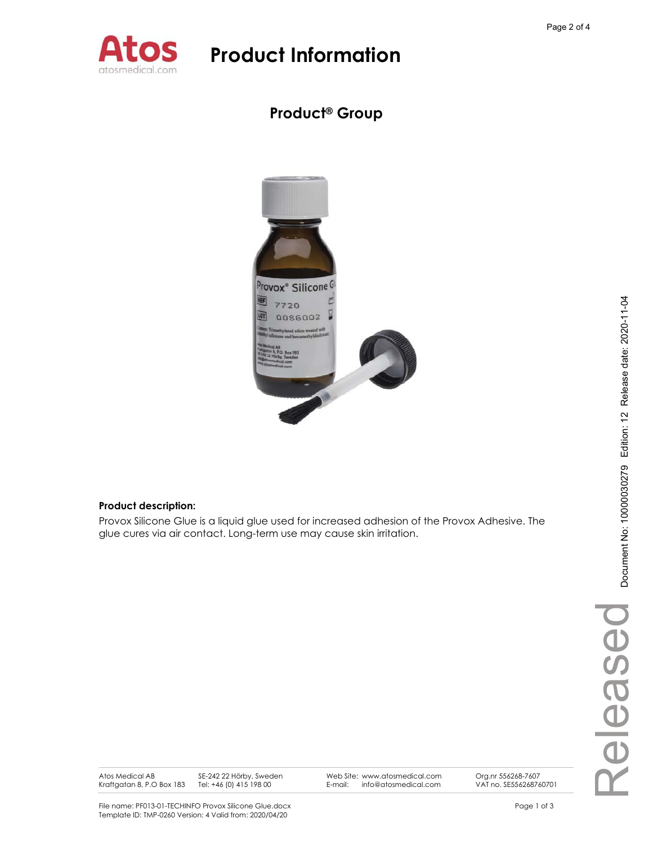

### **Product® Group**



### **Product description:**

Provox Silicone Glue is a liquid glue used for increased adhesion of the Provox Adhesive. The glue cures via air contact. Long-term use may cause skin irritation.

Released Released

Atos Medical AB Kraftgatan 8, P.O Box 183 SE-242 22 Hörby, Sweden Tel: +46 (0) 415 198 00

Web Site: www.atosmedical.com E-mail: info@atosmedical.com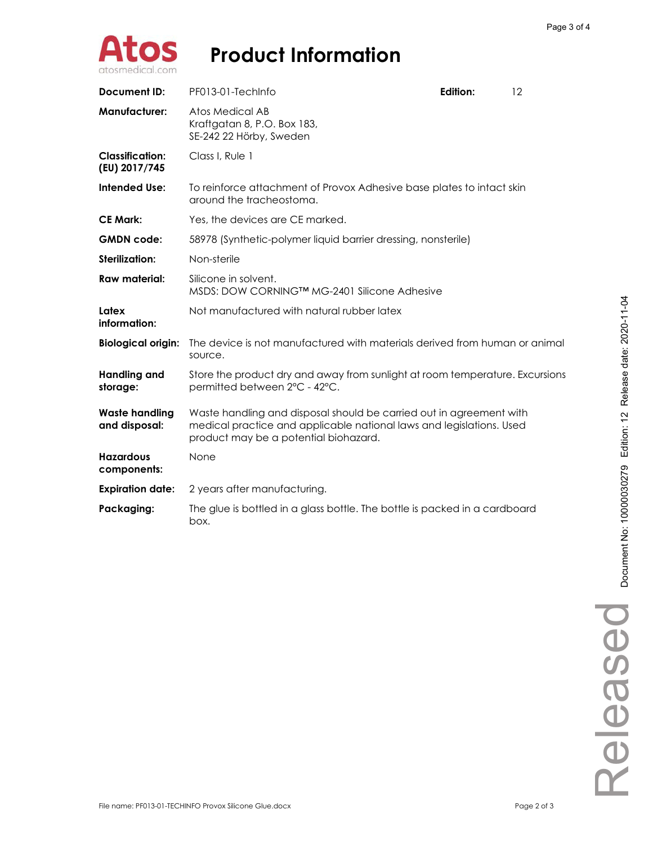

| <b>Document ID:</b>                     | PF013-01-TechInfo                                                                                                                                                                    | Edition:                                                                   | 12 |  |
|-----------------------------------------|--------------------------------------------------------------------------------------------------------------------------------------------------------------------------------------|----------------------------------------------------------------------------|----|--|
| <b>Manufacturer:</b>                    | <b>Atos Medical AB</b><br>Kraftgatan 8, P.O. Box 183,<br>SE-242 22 Hörby, Sweden                                                                                                     |                                                                            |    |  |
| <b>Classification:</b><br>(EU) 2017/745 | Class I. Rule 1                                                                                                                                                                      |                                                                            |    |  |
| <b>Intended Use:</b>                    | To reinforce attachment of Provox Adhesive base plates to intact skin<br>around the tracheostoma.                                                                                    |                                                                            |    |  |
| <b>CE Mark:</b>                         | Yes, the devices are CE marked.                                                                                                                                                      |                                                                            |    |  |
| <b>GMDN</b> code:                       |                                                                                                                                                                                      | 58978 (Synthetic-polymer liquid barrier dressing, nonsterile)              |    |  |
| Sterilization:                          | Non-sterile                                                                                                                                                                          |                                                                            |    |  |
| <b>Raw material:</b>                    | Silicone in solvent.<br>MSDS: DOW CORNING™ MG-2401 Silicone Adhesive                                                                                                                 |                                                                            |    |  |
| Latex<br>information:                   | Not manufactured with natural rubber latex                                                                                                                                           |                                                                            |    |  |
| <b>Biological origin:</b>               | The device is not manufactured with materials derived from human or animal<br>source.                                                                                                |                                                                            |    |  |
| <b>Handling and</b><br>storage:         | Store the product dry and away from sunlight at room temperature. Excursions<br>permitted between 2°C - 42°C.                                                                        |                                                                            |    |  |
| <b>Waste handling</b><br>and disposal:  | Waste handling and disposal should be carried out in agreement with<br>medical practice and applicable national laws and legislations. Used<br>product may be a potential biohazard. |                                                                            |    |  |
| <b>Hazardous</b><br>components:         | None                                                                                                                                                                                 |                                                                            |    |  |
| <b>Expiration date:</b>                 | 2 years after manufacturing.                                                                                                                                                         |                                                                            |    |  |
| Packaging:                              | box.                                                                                                                                                                                 | The glue is bottled in a glass bottle. The bottle is packed in a cardboard |    |  |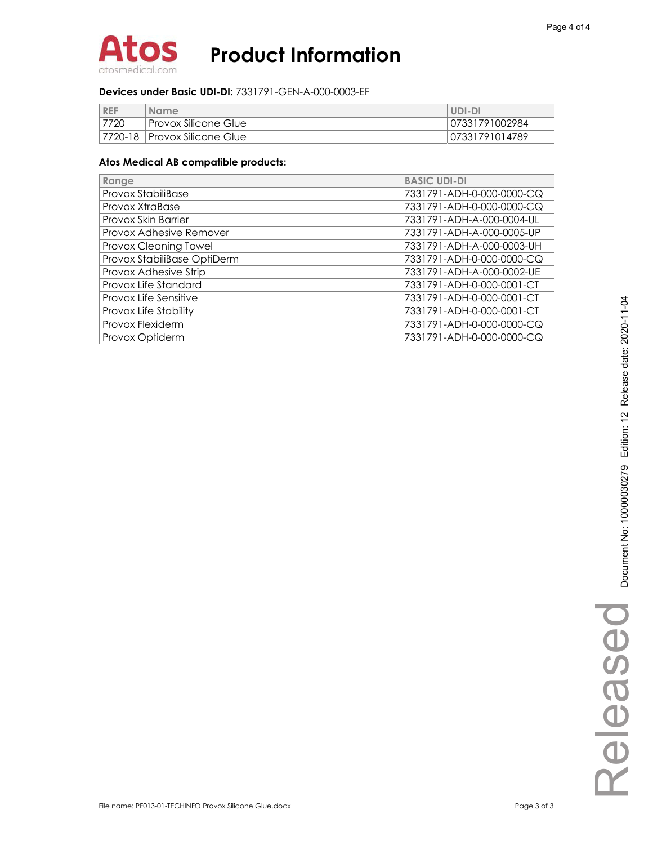

#### **Devices under Basic UDI-DI:** 7331791-GEN-A-000-0003-EF

| <b>REF</b> | <b>Name</b>                     | UDI-DI         |
|------------|---------------------------------|----------------|
| 7720       | Provox Silicone Glue            | 07331791002984 |
|            | 17720-18   Provox Silicone Glue | 07331791014789 |

| Range                       | <b>BASIC UDI-DI</b>       |
|-----------------------------|---------------------------|
| Provox StabiliBase          | 7331791-ADH-0-000-0000-CQ |
| Provox XtraBase             | 7331791-ADH-0-000-0000-CQ |
| Provox Skin Barrier         | 7331791-ADH-A-000-0004-UL |
| Provox Adhesive Remover     | 7331791-ADH-A-000-0005-UP |
| Provox Cleaning Towel       | 7331791-ADH-A-000-0003-UH |
| Provox StabiliBase OptiDerm | 7331791-ADH-0-000-0000-CQ |
| Provox Adhesive Strip       | 7331791-ADH-A-000-0002-UE |
| Provox Life Standard        | 7331791-ADH-0-000-0001-CT |
| Provox Life Sensitive       | 7331791-ADH-0-000-0001-CT |
| Provox Life Stability       | 7331791-ADH-0-000-0001-CT |
| Provox Flexiderm            | 7331791-ADH-0-000-0000-CQ |
| Provox Optiderm             | 7331791-ADH-0-000-0000-CQ |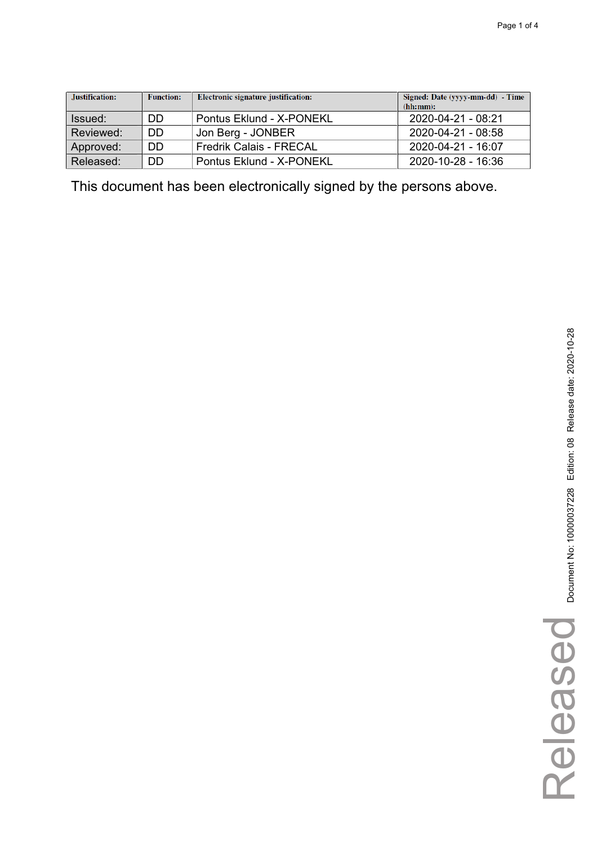| Justification: | <b>Function:</b> | Electronic signature justification: | Signed: Date (yyyy-mm-dd) - Time<br>(hh:mm): |
|----------------|------------------|-------------------------------------|----------------------------------------------|
| Issued:        | DD               | Pontus Eklund - X-PONEKL            | 2020-04-21 - 08:21                           |
| Reviewed:      | DD               | Jon Berg - JONBER                   | 2020-04-21 - 08:58                           |
| Approved:      | DD               | <b>Fredrik Calais - FRECAL</b>      | 2020-04-21 - 16:07                           |
| Released:      | DD               | Pontus Eklund - X-PONEKL            | 2020-10-28 - 16:36                           |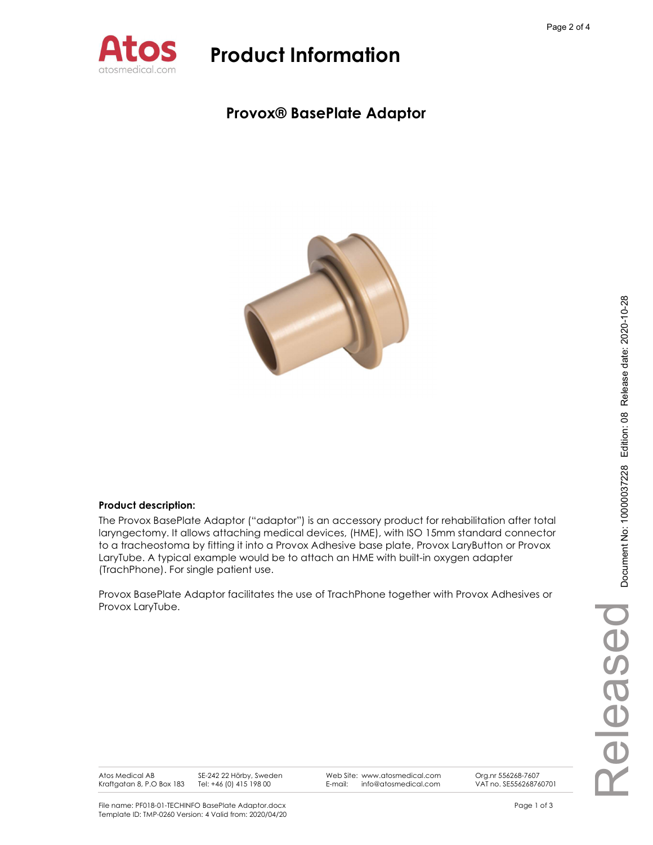

### Provox® BasePlate Adaptor



### Product description:

The Provox BasePlate Adaptor ("adaptor") is an accessory product for rehabilitation after total laryngectomy. It allows attaching medical devices, (HME), with ISO 15mm standard connector to a tracheostoma by fitting it into a Provox Adhesive base plate, Provox LaryButton or Provox LaryTube. A typical example would be to attach an HME with built-in oxygen adapter (TrachPhone). For single patient use.

Provox BasePlate Adaptor facilitates the use of TrachPhone together with Provox Adhesives or Provox LaryTube.

SE-242 22 Hörby, Sweden

Web Site: www.atosmedical.com<br>E-mail: info@atosmedical.com E-mail: info@atosmedical.com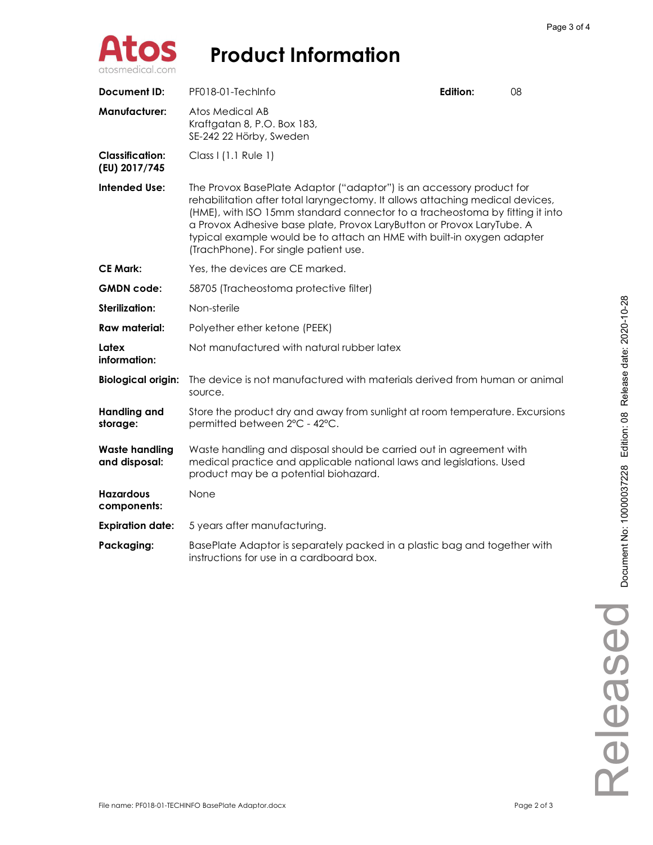

| <b>Document ID:</b>                     | PF018-01-TechInfo                                                                                                                                                                                                                                                                                                                                                                                                                 | Edition: | 08 |
|-----------------------------------------|-----------------------------------------------------------------------------------------------------------------------------------------------------------------------------------------------------------------------------------------------------------------------------------------------------------------------------------------------------------------------------------------------------------------------------------|----------|----|
| <b>Manufacturer:</b>                    | Atos Medical AB<br>Kraftgatan 8, P.O. Box 183,<br>SE-242 22 Hörby, Sweden                                                                                                                                                                                                                                                                                                                                                         |          |    |
| <b>Classification:</b><br>(EU) 2017/745 | Class I (1.1 Rule 1)                                                                                                                                                                                                                                                                                                                                                                                                              |          |    |
| <b>Intended Use:</b>                    | The Provox BasePlate Adaptor ("adaptor") is an accessory product for<br>rehabilitation after total laryngectomy. It allows attaching medical devices,<br>(HME), with ISO 15mm standard connector to a tracheostoma by fitting it into<br>a Provox Adhesive base plate, Provox LaryButton or Provox LaryTube. A<br>typical example would be to attach an HME with built-in oxygen adapter<br>(TrachPhone). For single patient use. |          |    |
| <b>CE Mark:</b>                         | Yes, the devices are CE marked.                                                                                                                                                                                                                                                                                                                                                                                                   |          |    |
| <b>GMDN</b> code:                       | 58705 (Tracheostoma protective filter)                                                                                                                                                                                                                                                                                                                                                                                            |          |    |
| Sterilization:                          | Non-sterile                                                                                                                                                                                                                                                                                                                                                                                                                       |          |    |
| Raw material:                           | Polyether ether ketone (PEEK)                                                                                                                                                                                                                                                                                                                                                                                                     |          |    |
| Latex<br>information:                   | Not manufactured with natural rubber latex                                                                                                                                                                                                                                                                                                                                                                                        |          |    |
| <b>Biological origin:</b>               | The device is not manufactured with materials derived from human or animal<br>source.                                                                                                                                                                                                                                                                                                                                             |          |    |
| <b>Handling and</b><br>storage:         | Store the product dry and away from sunlight at room temperature. Excursions<br>permitted between 2°C - 42°C.                                                                                                                                                                                                                                                                                                                     |          |    |
| <b>Waste handling</b><br>and disposal:  | Waste handling and disposal should be carried out in agreement with<br>medical practice and applicable national laws and legislations. Used<br>product may be a potential biohazard.                                                                                                                                                                                                                                              |          |    |
| <b>Hazardous</b><br>components:         | None                                                                                                                                                                                                                                                                                                                                                                                                                              |          |    |
| <b>Expiration date:</b>                 | 5 years after manufacturing.                                                                                                                                                                                                                                                                                                                                                                                                      |          |    |
| Packaging:                              | BasePlate Adaptor is separately packed in a plastic bag and together with<br>instructions for use in a cardboard box.                                                                                                                                                                                                                                                                                                             |          |    |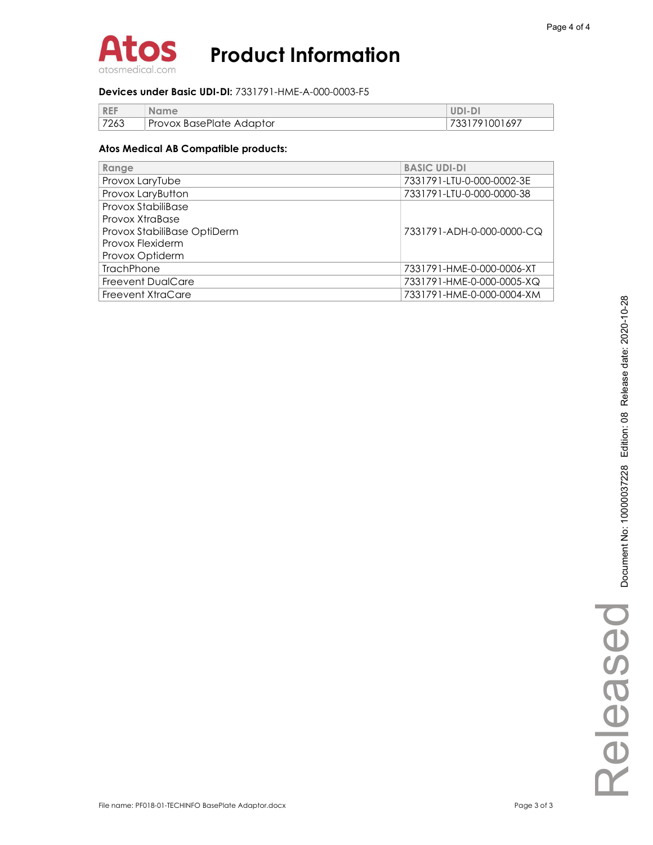

#### Devices under Basic UDI-DI: 7331791-HME-A-000-0003-F5

| <b>REF</b> | <b>Name</b>              | UDI-DI        |
|------------|--------------------------|---------------|
| 7263       | Provox BasePlate Adaptor | 7331791001697 |

| Range                       | <b>BASIC UDI-DI</b>       |
|-----------------------------|---------------------------|
| Provox LaryTube             | 7331791-LTU-0-000-0002-3E |
| Provox LaryButton           | 7331791-LTU-0-000-0000-38 |
| Provox StabiliBase          |                           |
| Provox XtraBase             |                           |
| Provox StabiliBase OptiDerm | 7331791-ADH-0-000-0000-CQ |
| Provox Flexiderm            |                           |
| Provox Optiderm             |                           |
| <b>TrachPhone</b>           | 7331791-HME-0-000-0006-XT |
| <b>Freevent DualCare</b>    | 7331791-HME-0-000-0005-XQ |
| Freevent XtraCare           | 7331791-HME-0-000-0004-XM |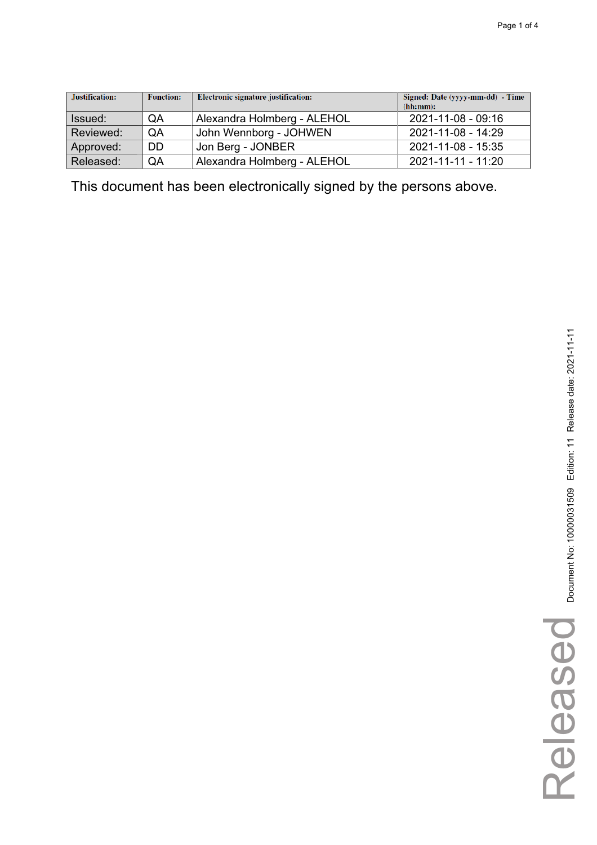| Justification: | <b>Function:</b> | Electronic signature justification: | Signed: Date (yyyy-mm-dd) - Time<br>(hh:mm): |
|----------------|------------------|-------------------------------------|----------------------------------------------|
| Issued:        | QA               | Alexandra Holmberg - ALEHOL         | 2021-11-08 - 09:16                           |
| Reviewed:      | QA               | John Wennborg - JOHWEN              | 2021-11-08 - 14:29                           |
| Approved:      | <b>DD</b>        | Jon Berg - JONBER                   | 2021-11-08 - 15:35                           |
| Released:      | QA               | Alexandra Holmberg - ALEHOL         | 2021-11-11 - 11:20                           |

Released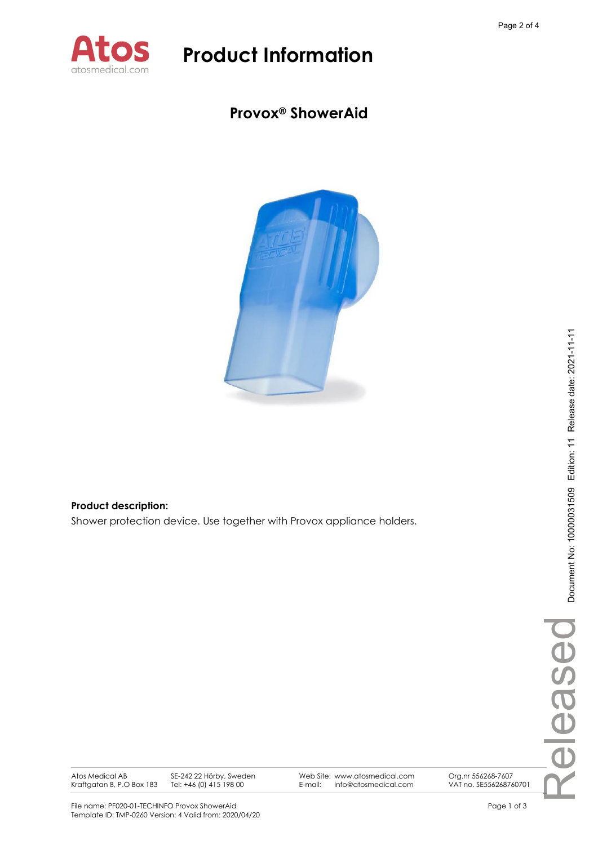

### **Provox® ShowerAid**



### **Product description:**

Shower protection device. Use together with Provox appliance holders.

Atos Medical AB Kraftgatan 8, P.O Box 183 SE-242 22 Hörby, Sweden Tel: +46 (0) 415 198 00

Web Site: www.atosmedical.com E-mail: info@atosmedical.com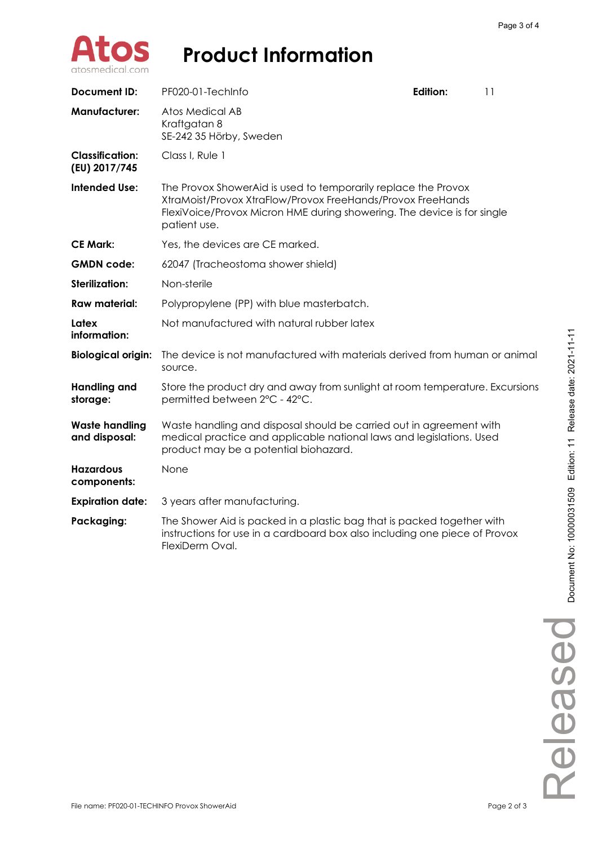

| <b>Document ID:</b>                     | PF020-01-TechInfo                                                                                                                                                                                                        | <b>Edition:</b>                                                                                                                                      | 11 |  |
|-----------------------------------------|--------------------------------------------------------------------------------------------------------------------------------------------------------------------------------------------------------------------------|------------------------------------------------------------------------------------------------------------------------------------------------------|----|--|
| <b>Manufacturer:</b>                    | Atos Medical AB<br>Kraftgatan 8<br>SE-242 35 Hörby, Sweden                                                                                                                                                               |                                                                                                                                                      |    |  |
| <b>Classification:</b><br>(EU) 2017/745 | Class I, Rule 1                                                                                                                                                                                                          |                                                                                                                                                      |    |  |
| <b>Intended Use:</b>                    | The Provox ShowerAid is used to temporarily replace the Provox<br>XtraMoist/Provox XtraFlow/Provox FreeHands/Provox FreeHands<br>FlexiVoice/Provox Micron HME during showering. The device is for single<br>patient use. |                                                                                                                                                      |    |  |
| <b>CE Mark:</b>                         | Yes, the devices are CE marked.                                                                                                                                                                                          |                                                                                                                                                      |    |  |
| <b>GMDN</b> code:                       | 62047 (Tracheostoma shower shield)                                                                                                                                                                                       |                                                                                                                                                      |    |  |
| Sterilization:                          | Non-sterile                                                                                                                                                                                                              |                                                                                                                                                      |    |  |
| <b>Raw material:</b>                    | Polypropylene (PP) with blue masterbatch.                                                                                                                                                                                |                                                                                                                                                      |    |  |
| Latex<br>information:                   | Not manufactured with natural rubber latex                                                                                                                                                                               |                                                                                                                                                      |    |  |
| <b>Biological origin:</b>               | The device is not manufactured with materials derived from human or animal<br>source.                                                                                                                                    |                                                                                                                                                      |    |  |
| <b>Handling and</b><br>storage:         | Store the product dry and away from sunlight at room temperature. Excursions<br>permitted between 2°C - 42°C.                                                                                                            |                                                                                                                                                      |    |  |
| <b>Waste handling</b><br>and disposal:  | Waste handling and disposal should be carried out in agreement with<br>medical practice and applicable national laws and legislations. Used<br>product may be a potential biohazard.                                     |                                                                                                                                                      |    |  |
| <b>Hazardous</b><br>components:         | None                                                                                                                                                                                                                     |                                                                                                                                                      |    |  |
| <b>Expiration date:</b>                 | 3 years after manufacturing.                                                                                                                                                                                             |                                                                                                                                                      |    |  |
| Packaging:                              | FlexiDerm Oval.                                                                                                                                                                                                          | The Shower Aid is packed in a plastic bag that is packed together with<br>instructions for use in a cardboard box also including one piece of Provox |    |  |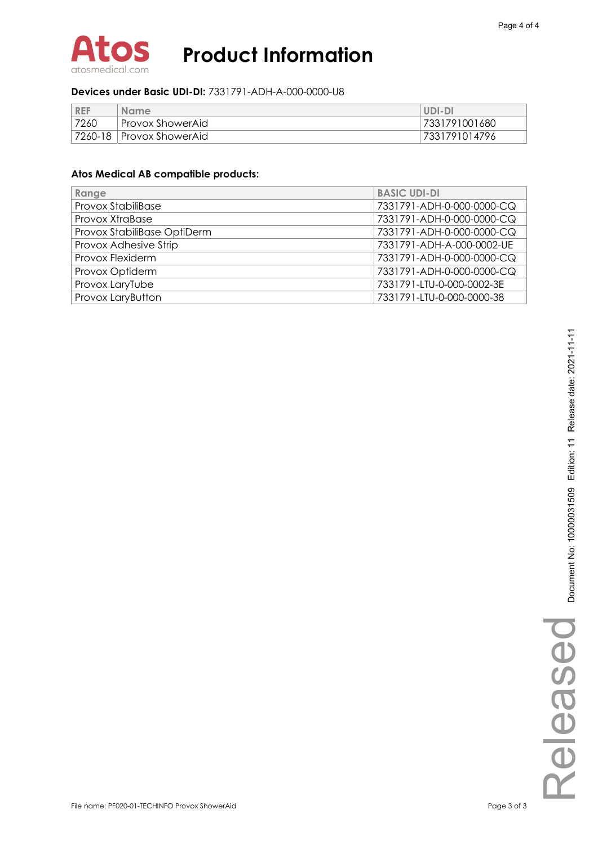

### **Devices under Basic UDI-DI:** 7331791-ADH-A-000-0000-U8

| <b>REF</b> | <b>Name</b>                | UDI-DI        |
|------------|----------------------------|---------------|
| 7260       | Provox ShowerAid           | 7331791001680 |
|            | 7260-18   Provox ShowerAid | 7331791014796 |

| Range                       | <b>BASIC UDI-DI</b>       |
|-----------------------------|---------------------------|
| <b>Provox StabiliBase</b>   | 7331791-ADH-0-000-0000-CQ |
| Provox XtraBase             | 7331791-ADH-0-000-0000-CQ |
| Provox StabiliBase OptiDerm | 7331791-ADH-0-000-0000-CQ |
| Provox Adhesive Strip       | 7331791-ADH-A-000-0002-UE |
| Provox Flexiderm            | 7331791-ADH-0-000-0000-CQ |
| Provox Optiderm             | 7331791-ADH-0-000-0000-CQ |
| Provox LaryTube             | 7331791-LTU-0-000-0002-3E |
| Provox LaryButton           | 7331791-LTU-0-000-0000-38 |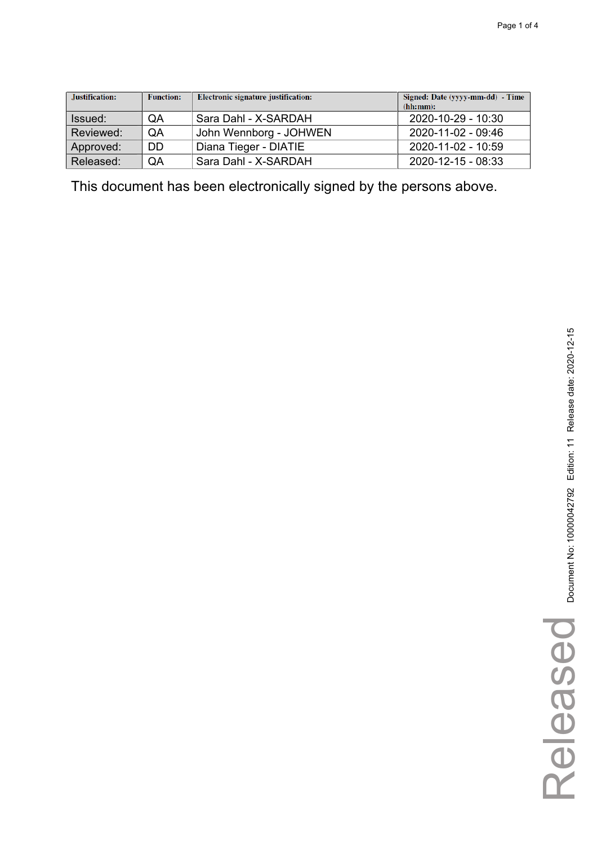| Justification: | <b>Function:</b> | Electronic signature justification: | Signed: Date (yyyy-mm-dd) - Time<br>(hh:mm): |
|----------------|------------------|-------------------------------------|----------------------------------------------|
| Issued:        | QA               | Sara Dahl - X-SARDAH                | 2020-10-29 - 10:30                           |
| Reviewed:      | QA               | John Wennborg - JOHWEN              | 2020-11-02 - 09:46                           |
| Approved:      | DD               | Diana Tieger - DIATIE               | 2020-11-02 - 10:59                           |
| Released:      | QA               | Sara Dahl - X-SARDAH                | 2020-12-15 - 08:33                           |

Released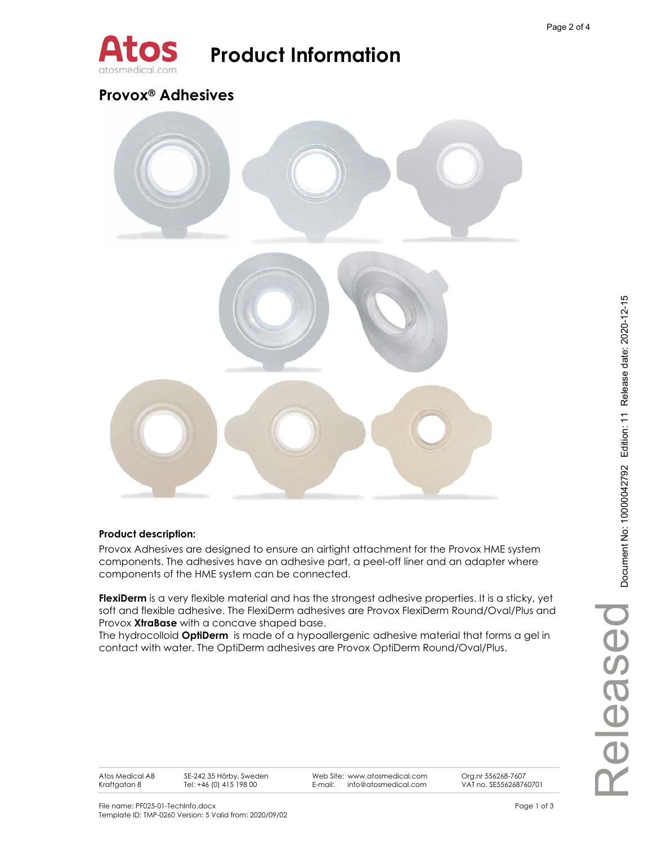

### **Provox® Adhesives**



### **Product description:**

Provox Adhesives are designed to ensure an airtight attachment for the Provox HME system components. The adhesives have an adhesive part, a peel-off liner and an adapter where components of the HME system can be connected.

FlexiDerm is a very flexible material and has the strongest adhesive properties. It is a sticky, yet soft and flexible adhesive. The FlexiDerm adhesives are Provox FlexiDerm Round/Oval/Plus and Provox **XtraBase** with a concave shaped base.

The hydrocolloid **OptiDerm** is made of a hypoallergenic adhesive material that forms a gel in contact with water. The OptiDerm adhesives are Provox OptiDerm Round/Oval/Plus.

SE-242 35 Hörby, Sweden Tel: +46 (0) 415 198 00

Web Site: www.atosmedical.com E-mail: info@atosmedical.com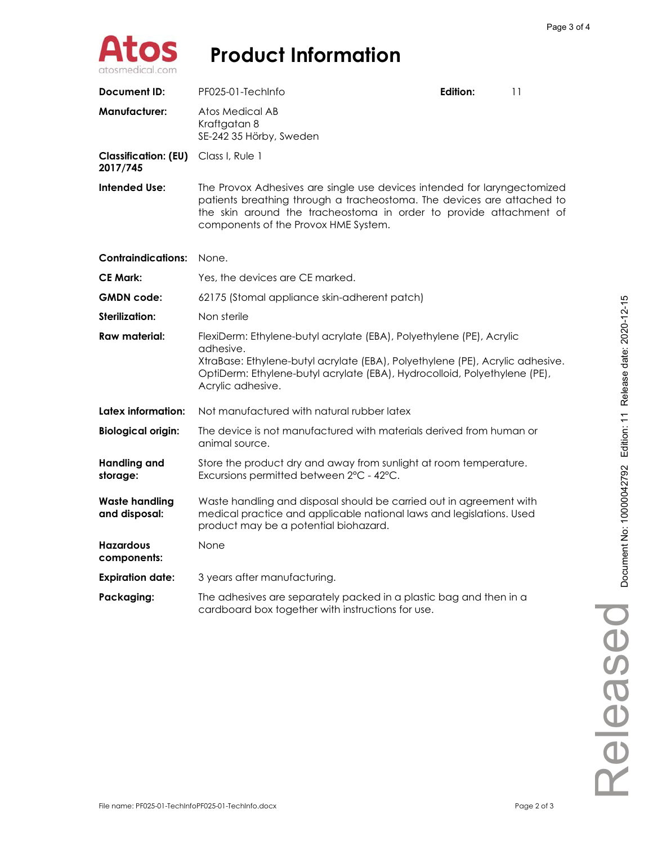

| Document ID:                            | PF025-01-TechInfo                                                                                                                                                                                                                                                    | Edition: | 11 |
|-----------------------------------------|----------------------------------------------------------------------------------------------------------------------------------------------------------------------------------------------------------------------------------------------------------------------|----------|----|
| <b>Manufacturer:</b>                    | Atos Medical AB<br>Kraftgatan 8<br>SE-242 35 Hörby, Sweden                                                                                                                                                                                                           |          |    |
| <b>Classification: (EU)</b><br>2017/745 | Class I, Rule 1                                                                                                                                                                                                                                                      |          |    |
| Intended Use:                           | The Provox Adhesives are single use devices intended for laryngectomized<br>patients breathing through a tracheostoma. The devices are attached to<br>the skin around the tracheostoma in order to provide attachment of<br>components of the Provox HME System.     |          |    |
| <b>Contraindications:</b>               | None.                                                                                                                                                                                                                                                                |          |    |
| <b>CE Mark:</b>                         | Yes, the devices are CE marked.                                                                                                                                                                                                                                      |          |    |
| <b>GMDN</b> code:                       | 62175 (Stomal appliance skin-adherent patch)                                                                                                                                                                                                                         |          |    |
| <b>Sterilization:</b>                   | Non sterile                                                                                                                                                                                                                                                          |          |    |
| Raw material:                           | FlexiDerm: Ethylene-butyl acrylate (EBA), Polyethylene (PE), Acrylic<br>adhesive.<br>XtraBase: Ethylene-butyl acrylate (EBA), Polyethylene (PE), Acrylic adhesive.<br>OptiDerm: Ethylene-butyl acrylate (EBA), Hydrocolloid, Polyethylene (PE),<br>Acrylic adhesive. |          |    |
| Latex information:                      | Not manufactured with natural rubber latex                                                                                                                                                                                                                           |          |    |
| <b>Biological origin:</b>               | The device is not manufactured with materials derived from human or<br>animal source.                                                                                                                                                                                |          |    |
| <b>Handling and</b><br>storage:         | Store the product dry and away from sunlight at room temperature.<br>Excursions permitted between 2°C - 42°C.                                                                                                                                                        |          |    |
| <b>Waste handling</b><br>and disposal:  | Waste handling and disposal should be carried out in agreement with<br>medical practice and applicable national laws and legislations. Used<br>product may be a potential biohazard.                                                                                 |          |    |
| <b>Hazardous</b><br>components:         | None                                                                                                                                                                                                                                                                 |          |    |
| <b>Expiration date:</b>                 | 3 years after manufacturing.                                                                                                                                                                                                                                         |          |    |
| Packaging:                              | The adhesives are separately packed in a plastic bag and then in a<br>cardboard box together with instructions for use.                                                                                                                                              |          |    |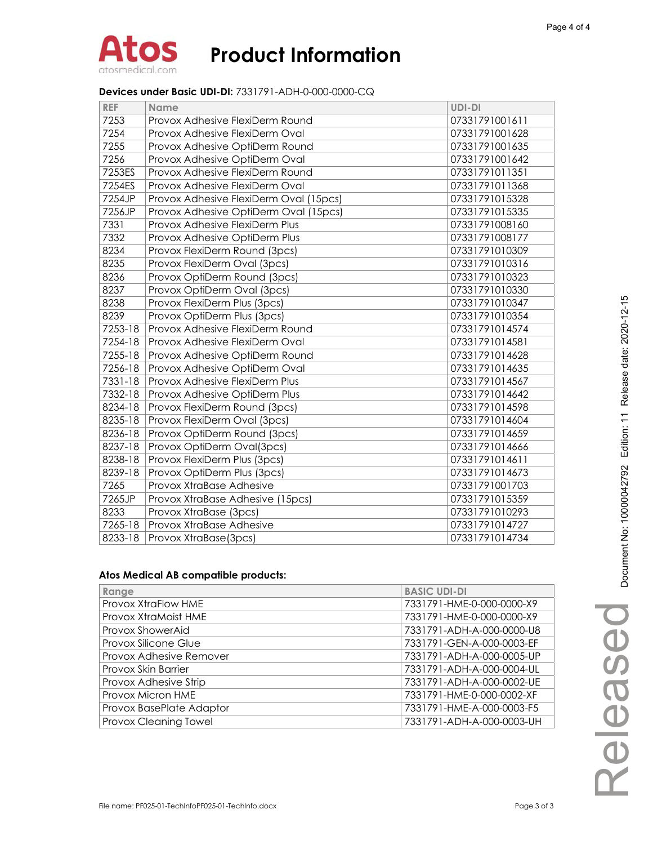#### **Devices under Basic UDI-DI:** 7331791-ADH-0-000-0000-CQ

| <b>REF</b> | Name                                   | UDI-DI         |
|------------|----------------------------------------|----------------|
| 7253       | Provox Adhesive FlexiDerm Round        | 07331791001611 |
| 7254       | Provox Adhesive FlexiDerm Oval         | 07331791001628 |
| 7255       | Provox Adhesive OptiDerm Round         | 07331791001635 |
| 7256       | Provox Adhesive OptiDerm Oval          | 07331791001642 |
| 7253ES     | Provox Adhesive FlexiDerm Round        | 07331791011351 |
| 7254ES     | Provox Adhesive FlexiDerm Oval         | 07331791011368 |
| 7254JP     | Provox Adhesive FlexiDerm Oval (15pcs) | 07331791015328 |
| 7256JP     | Provox Adhesive OptiDerm Oval (15pcs)  | 07331791015335 |
| 7331       | Provox Adhesive FlexiDerm Plus         | 07331791008160 |
| 7332       | Provox Adhesive OptiDerm Plus          | 07331791008177 |
| 8234       | Provox FlexiDerm Round (3pcs)          | 07331791010309 |
| 8235       | Provox FlexiDerm Oval (3pcs)           | 07331791010316 |
| 8236       | Provox OptiDerm Round (3pcs)           | 07331791010323 |
| 8237       | Provox OptiDerm Oval (3pcs)            | 07331791010330 |
| 8238       | Provox FlexiDerm Plus (3pcs)           | 07331791010347 |
| 8239       | Provox OptiDerm Plus (3pcs)            | 07331791010354 |
| 7253-18    | Provox Adhesive FlexiDerm Round        | 07331791014574 |
| 7254-18    | Provox Adhesive FlexiDerm Oval         | 07331791014581 |
| 7255-18    | Provox Adhesive OptiDerm Round         | 07331791014628 |
| 7256-18    | Provox Adhesive OptiDerm Oval          | 07331791014635 |
| 7331-18    | Provox Adhesive FlexiDerm Plus         | 07331791014567 |
| 7332-18    | Provox Adhesive OptiDerm Plus          | 07331791014642 |
| 8234-18    | Provox FlexiDerm Round (3pcs)          | 07331791014598 |
| 8235-18    | Provox FlexiDerm Oval (3pcs)           | 07331791014604 |
| 8236-18    | Provox OptiDerm Round (3pcs)           | 07331791014659 |
| 8237-18    | Provox OptiDerm Oval(3pcs)             | 07331791014666 |
| 8238-18    | Provox FlexiDerm Plus (3pcs)           | 07331791014611 |
| 8239-18    | Provox OptiDerm Plus (3pcs)            | 07331791014673 |
| 7265       | Provox XtraBase Adhesive               | 07331791001703 |
| 7265JP     | Provox XtraBase Adhesive (15pcs)       | 07331791015359 |
| 8233       | Provox XtraBase (3pcs)                 | 07331791010293 |
| 7265-18    | Provox XtraBase Adhesive               | 07331791014727 |
| 8233-18    | Provox XtraBase(3pcs)                  | 07331791014734 |

| Range                    | <b>BASIC UDI-DI</b>       |
|--------------------------|---------------------------|
| Provox XtraFlow HME      | 7331791-HME-0-000-0000-X9 |
| Provox XtraMoist HME     | 7331791-HME-0-000-0000-X9 |
| Provox ShowerAid         | 7331791-ADH-A-000-0000-U8 |
| Provox Silicone Glue     | 7331791-GEN-A-000-0003-EF |
| Provox Adhesive Remover  | 7331791-ADH-A-000-0005-UP |
| Provox Skin Barrier      | 7331791-ADH-A-000-0004-UL |
| Provox Adhesive Strip    | 7331791-ADH-A-000-0002-UE |
| Provox Micron HME        | 7331791-HME-0-000-0002-XF |
| Provox BasePlate Adaptor | 7331791-HME-A-000-0003-F5 |
| Provox Cleaning Towel    | 7331791-ADH-A-000-0003-UH |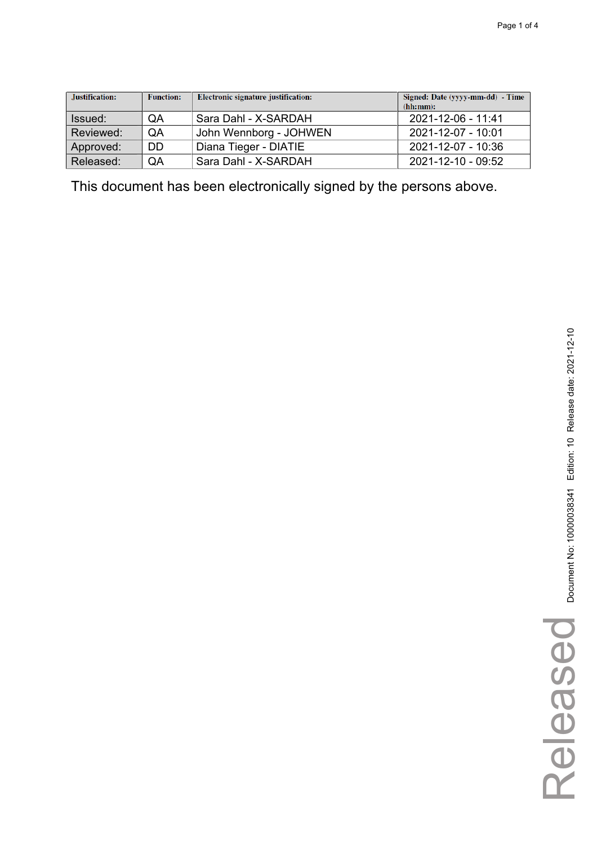| Justification: | <b>Function:</b> | Electronic signature justification: | Signed: Date (yyyy-mm-dd) - Time<br>(hh:mm): |
|----------------|------------------|-------------------------------------|----------------------------------------------|
| Issued:        | QA               | Sara Dahl - X-SARDAH                | 2021-12-06 - 11:41                           |
| Reviewed:      | QA               | John Wennborg - JOHWEN              | 2021-12-07 - 10:01                           |
| Approved:      | DD               | Diana Tieger - DIATIE               | 2021-12-07 - 10:36                           |
| Released:      | QA               | Sara Dahl - X-SARDAH                | 2021-12-10 - 09:52                           |

Released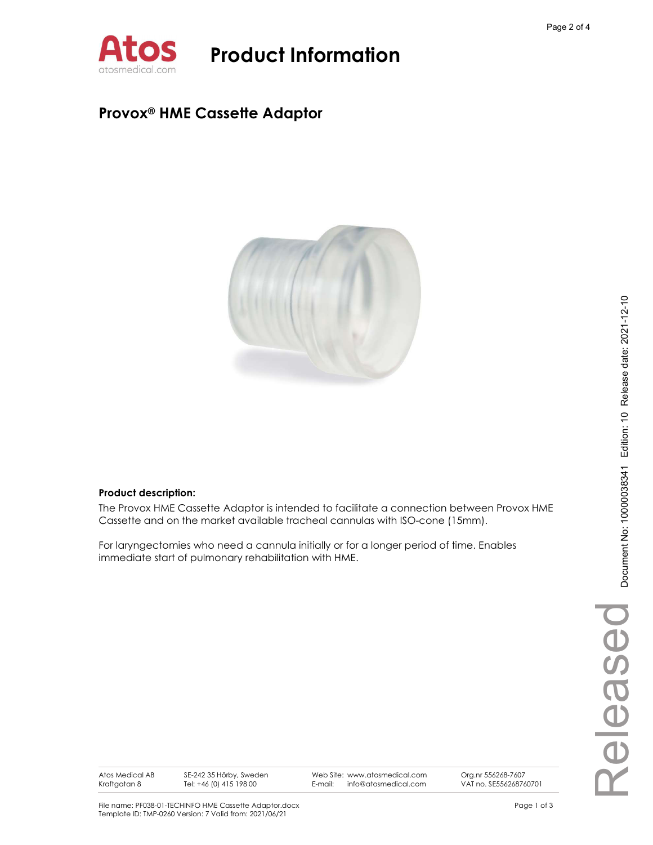

### Provox® HME Cassette Adaptor



#### Product description:

The Provox HME Cassette Adaptor is intended to facilitate a connection between Provox HME Cassette and on the market available tracheal cannulas with ISO-cone (15mm).

For laryngectomies who need a cannula initially or for a longer period of time. Enables immediate start of pulmonary rehabilitation with HME.

Atos Medical AB Kraftgatan 8

SE-242 35 Hörby, Sweden Tel: +46 (0) 415 198 00

Web Site: www.atosmedical.com<br>F-mail: info@atosmedical.com E-mail: info@atosmedical.com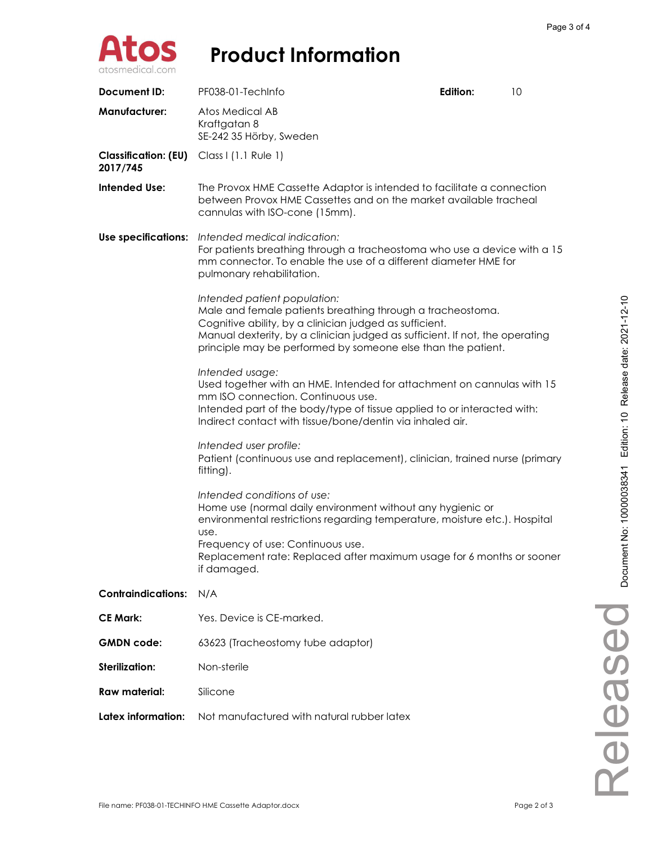

| Document ID:                            | PF038-01-TechInfo                                                                                                                                                                                                                                                                                     | Edition:                                                                                                                                    | 10 |  |
|-----------------------------------------|-------------------------------------------------------------------------------------------------------------------------------------------------------------------------------------------------------------------------------------------------------------------------------------------------------|---------------------------------------------------------------------------------------------------------------------------------------------|----|--|
| <b>Manufacturer:</b>                    | Atos Medical AB<br>Kraftgatan 8<br>SE-242 35 Hörby, Sweden                                                                                                                                                                                                                                            |                                                                                                                                             |    |  |
| <b>Classification: (EU)</b><br>2017/745 | Class I (1.1 Rule 1)                                                                                                                                                                                                                                                                                  |                                                                                                                                             |    |  |
| Intended Use:                           | The Provox HME Cassette Adaptor is intended to facilitate a connection<br>between Provox HME Cassettes and on the market available tracheal<br>cannulas with ISO-cone (15mm).                                                                                                                         |                                                                                                                                             |    |  |
| Use specifications:                     | Intended medical indication:<br>pulmonary rehabilitation.                                                                                                                                                                                                                                             | For patients breathing through a tracheostoma who use a device with a 15<br>mm connector. To enable the use of a different diameter HME for |    |  |
|                                         | Intended patient population:<br>Male and female patients breathing through a tracheostoma.<br>Cognitive ability, by a clinician judged as sufficient.<br>Manual dexterity, by a clinician judged as sufficient. If not, the operating<br>principle may be performed by someone else than the patient. |                                                                                                                                             |    |  |
|                                         | Intended usage:<br>Used together with an HME. Intended for attachment on cannulas with 15<br>mm ISO connection. Continuous use.<br>Intended part of the body/type of tissue applied to or interacted with:<br>Indirect contact with tissue/bone/dentin via inhaled air.                               |                                                                                                                                             |    |  |
|                                         | Intended user profile:<br>Patient (continuous use and replacement), clinician, trained nurse (primary<br>fitting).                                                                                                                                                                                    |                                                                                                                                             |    |  |
|                                         | Intended conditions of use:<br>Home use (normal daily environment without any hygienic or<br>environmental restrictions regarding temperature, moisture etc.). Hospital<br>use.<br>Frequency of use: Continuous use.<br>Replacement rate: Replaced after maximum usage for 6 months or sooner         |                                                                                                                                             |    |  |
|                                         | if damaged.                                                                                                                                                                                                                                                                                           |                                                                                                                                             |    |  |
| <b>Contraindications:</b>               | N/A                                                                                                                                                                                                                                                                                                   |                                                                                                                                             |    |  |
| <b>CE Mark:</b>                         | Yes. Device is CE-marked.                                                                                                                                                                                                                                                                             |                                                                                                                                             |    |  |
| <b>GMDN</b> code:                       | 63623 (Tracheostomy tube adaptor)                                                                                                                                                                                                                                                                     |                                                                                                                                             |    |  |
| <b>Sterilization:</b>                   | Non-sterile                                                                                                                                                                                                                                                                                           |                                                                                                                                             |    |  |
| <b>Raw material:</b>                    | Silicone                                                                                                                                                                                                                                                                                              |                                                                                                                                             |    |  |
| Latex information:                      | Not manufactured with natural rubber latex                                                                                                                                                                                                                                                            |                                                                                                                                             |    |  |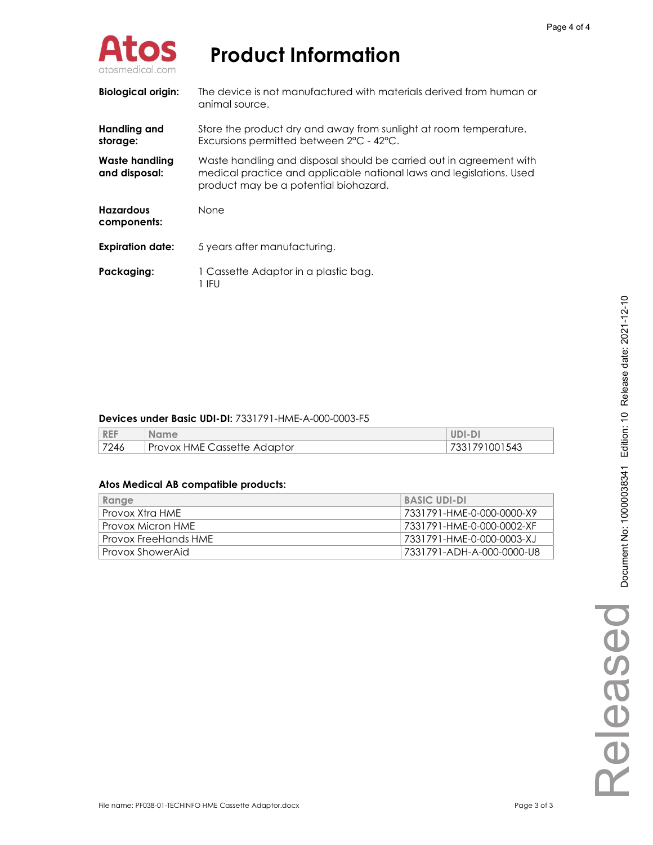

| <b>Biological origin:</b>       | The device is not manufactured with materials derived from human or<br>animal source.                                                                                                |
|---------------------------------|--------------------------------------------------------------------------------------------------------------------------------------------------------------------------------------|
| Handling and<br>storage:        | Store the product dry and away from sunlight at room temperature.<br>Excursions permitted between 2°C - 42°C.                                                                        |
| Waste handling<br>and disposal: | Waste handling and disposal should be carried out in agreement with<br>medical practice and applicable national laws and legislations. Used<br>product may be a potential biohazard. |
| <b>Hazardous</b><br>components: | <b>None</b>                                                                                                                                                                          |
| <b>Expiration date:</b>         | 5 years after manufacturing.                                                                                                                                                         |
| Packaging:                      | 1 Cassette Adaptor in a plastic bag.<br>1 IFU                                                                                                                                        |

#### Devices under Basic UDI-DI: 7331791-HME-A-000-0003-F5

| <b>REF</b> | <b>Name</b>                 | UDI-DI        |
|------------|-----------------------------|---------------|
| 7246       | Provox HME Cassette Adaptor | 7331791001543 |

| Range                | <b>BASIC UDI-DI</b>       |
|----------------------|---------------------------|
| Provox Xtra HME      | 7331791-HME-0-000-0000-X9 |
| Provox Micron HME    | 7331791-HME-0-000-0002-XF |
| Provox FreeHands HME | 7331791-HME-0-000-0003-XJ |
| Provox ShowerAid     | 7331791-ADH-A-000-0000-U8 |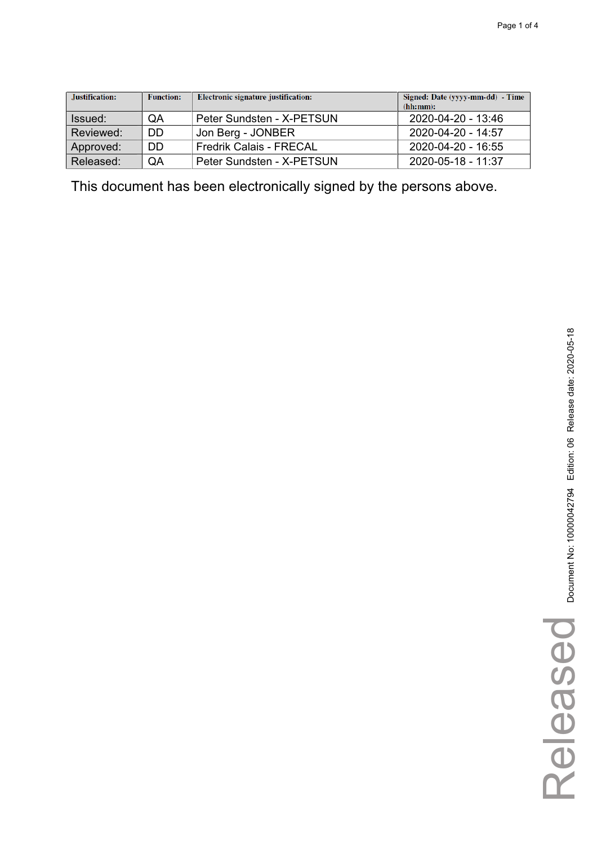| Justification: | <b>Function:</b> | Electronic signature justification: | Signed: Date (yyyy-mm-dd) - Time<br>(hh:mm): |
|----------------|------------------|-------------------------------------|----------------------------------------------|
| Issued:        | QA               | Peter Sundsten - X-PETSUN           | 2020-04-20 - 13:46                           |
| Reviewed:      | DD               | Jon Berg - JONBER                   | 2020-04-20 - 14:57                           |
| Approved:      | DD               | <b>Fredrik Calais - FRECAL</b>      | 2020-04-20 - 16:55                           |
| Released:      | QA               | Peter Sundsten - X-PETSUN           | 2020-05-18 - 11:37                           |

Released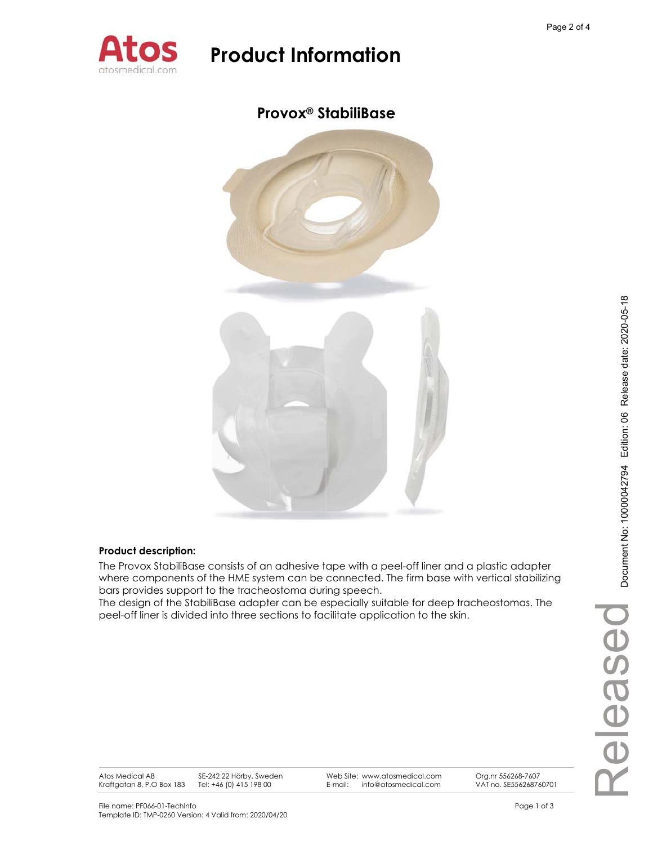

### **Provox® StabiliBase**



#### **Product description:**

The Provox StabiliBase consists of an adhesive tape with a peel-off liner and a plastic adapter where components of the HME system can be connected. The firm base with vertical stabilizing bars provides support to the tracheostoma during speech.

The design of the StabiliBase adapter can be especially suitable for deep tracheostomas. The peel-off liner is divided into three sections to facilitate application to the skin.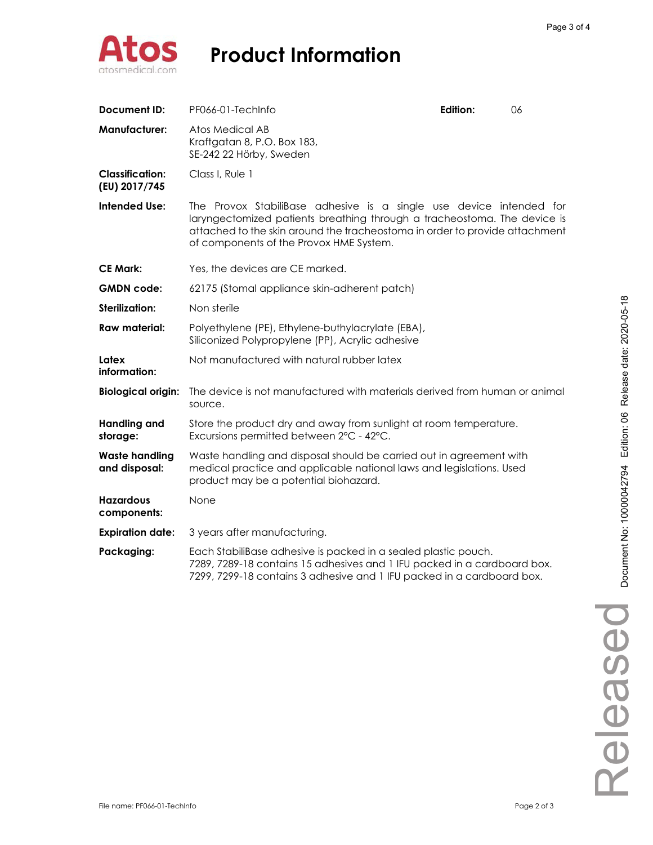

| Document ID:                            | PF066-01-TechInfo                                                                                                                                                                                                                                                         | Edition: | 06 |
|-----------------------------------------|---------------------------------------------------------------------------------------------------------------------------------------------------------------------------------------------------------------------------------------------------------------------------|----------|----|
| <b>Manufacturer:</b>                    | Atos Medical AB<br>Kraftgatan 8, P.O. Box 183,<br>SE-242 22 Hörby, Sweden                                                                                                                                                                                                 |          |    |
| <b>Classification:</b><br>(EU) 2017/745 | Class I, Rule 1                                                                                                                                                                                                                                                           |          |    |
| Intended Use:                           | The Provox StabiliBase adhesive is a single use device intended for<br>laryngectomized patients breathing through a tracheostoma. The device is<br>attached to the skin around the tracheostoma in order to provide attachment<br>of components of the Provox HME System. |          |    |
| <b>CE Mark:</b>                         | Yes, the devices are CE marked.                                                                                                                                                                                                                                           |          |    |
| <b>GMDN</b> code:                       | 62175 (Stomal appliance skin-adherent patch)                                                                                                                                                                                                                              |          |    |
| Sterilization:                          | Non sterile                                                                                                                                                                                                                                                               |          |    |
| Raw material:                           | Polyethylene (PE), Ethylene-buthylacrylate (EBA),<br>Siliconized Polypropylene (PP), Acrylic adhesive                                                                                                                                                                     |          |    |
| Latex<br>information:                   | Not manufactured with natural rubber latex                                                                                                                                                                                                                                |          |    |
| <b>Biological origin:</b>               | The device is not manufactured with materials derived from human or animal<br>source.                                                                                                                                                                                     |          |    |
| <b>Handling and</b><br>storage:         | Store the product dry and away from sunlight at room temperature.<br>Excursions permitted between 2°C - 42°C.                                                                                                                                                             |          |    |
| <b>Waste handling</b><br>and disposal:  | Waste handling and disposal should be carried out in agreement with<br>medical practice and applicable national laws and legislations. Used<br>product may be a potential biohazard.                                                                                      |          |    |
| <b>Hazardous</b><br>components:         | None                                                                                                                                                                                                                                                                      |          |    |
| <b>Expiration date:</b>                 | 3 years after manufacturing.                                                                                                                                                                                                                                              |          |    |
| Packaging:                              | Each StabiliBase adhesive is packed in a sealed plastic pouch.<br>7289, 7289-18 contains 15 adhesives and 1 IFU packed in a cardboard box.<br>7299, 7299-18 contains 3 adhesive and 1 IFU packed in a cardboard box.                                                      |          |    |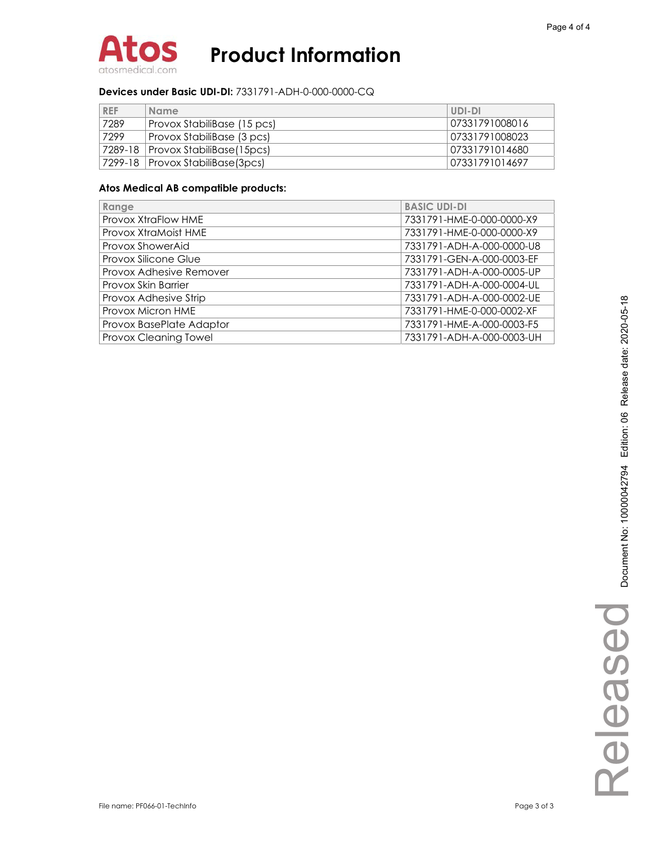

#### **Devices under Basic UDI-DI:** 7331791-ADH-0-000-0000-CQ

| <b>REF</b> | <b>Name</b>                         | UDI-DI         |
|------------|-------------------------------------|----------------|
| 7289       | Provox StabiliBase (15 pcs)         | 07331791008016 |
| 7299       | Provox StabiliBase (3 pcs)          | 07331791008023 |
|            | 7289-18   Provox StabiliBase(15pcs) | 07331791014680 |
|            | 7299-18   Provox StabiliBase(3pcs)  | 07331791014697 |

| Range                    | <b>BASIC UDI-DI</b>       |
|--------------------------|---------------------------|
| Provox XtraFlow HME      | 7331791-HME-0-000-0000-X9 |
| Provox XtraMoist HME     | 7331791-HME-0-000-0000-X9 |
| Provox ShowerAid         | 7331791-ADH-A-000-0000-U8 |
| Provox Silicone Glue     | 7331791-GEN-A-000-0003-EF |
| Provox Adhesive Remover  | 7331791-ADH-A-000-0005-UP |
| Provox Skin Barrier      | 7331791-ADH-A-000-0004-UL |
| Provox Adhesive Strip    | 7331791-ADH-A-000-0002-UE |
| Provox Micron HME        | 7331791-HME-0-000-0002-XF |
| Provox BasePlate Adaptor | 7331791-HME-A-000-0003-F5 |
| Provox Cleaning Towel    | 7331791-ADH-A-000-0003-UH |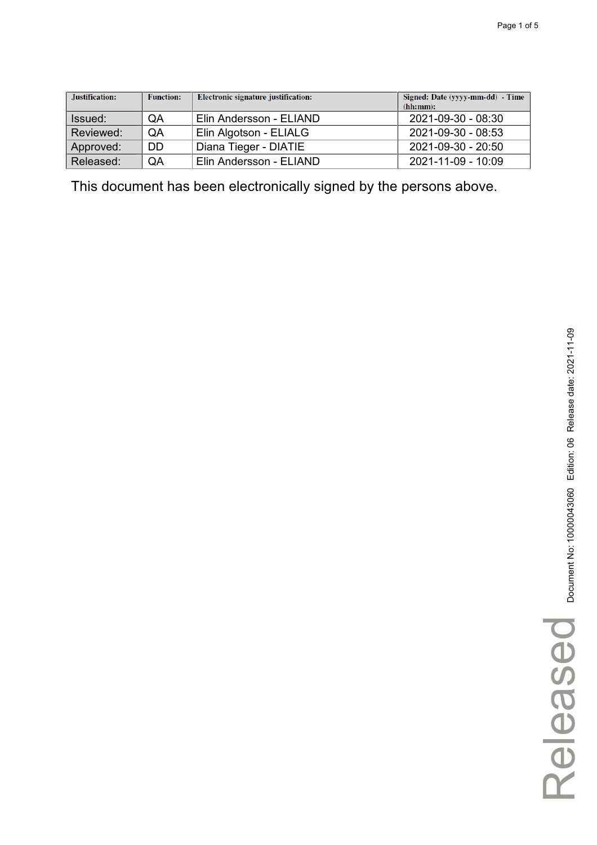| Justification: | <b>Function:</b> | Electronic signature justification: | Signed: Date (yyyy-mm-dd) - Time<br>(hh:mm): |
|----------------|------------------|-------------------------------------|----------------------------------------------|
| Issued:        | QA               | Elin Andersson - ELIAND             | 2021-09-30 - 08:30                           |
| Reviewed:      | QA               | Elin Algotson - ELIALG              | 2021-09-30 - 08:53                           |
| Approved:      | <b>DD</b>        | Diana Tieger - DIATIE               | 2021-09-30 - 20:50                           |
| Released:      | QA               | Elin Andersson - ELIAND             | 2021-11-09 - 10:09                           |

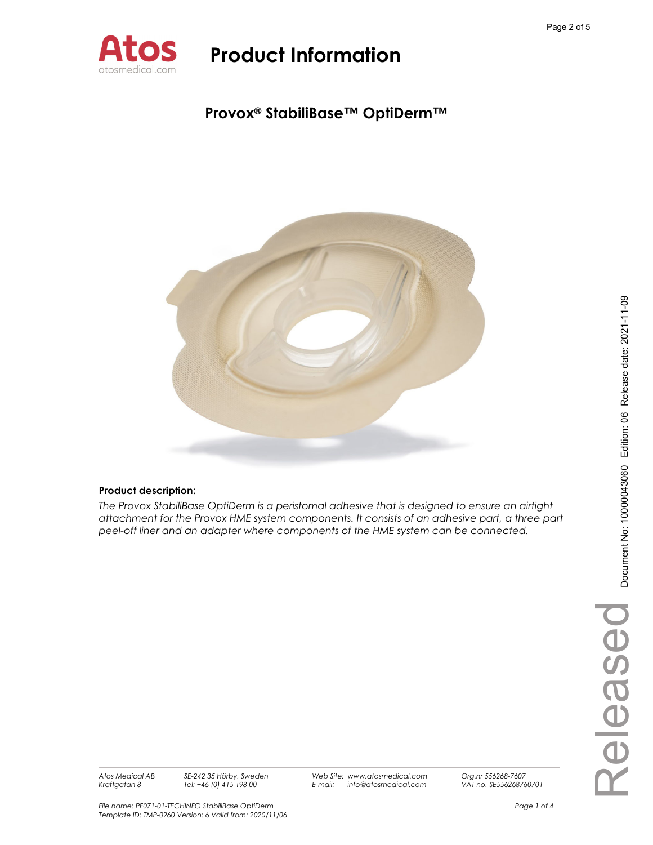

### **Provox® StabiliBase™ OptiDerm™**



### **Product description:**

*The Provox StabiliBase OptiDerm is a peristomal adhesive that is designed to ensure an airtight attachment for the Provox HME system components. It consists of an adhesive part, a three part peel-off liner and an adapter where components of the HME system can be connected.* 

*Atos Medical AB Kraftgatan 8* 

*SE-242 35 Hörby, Sweden Tel: +46 (0) 415 198 00* 

*Web Site: www.atosmedical.com E-mail: info@atosmedical.com*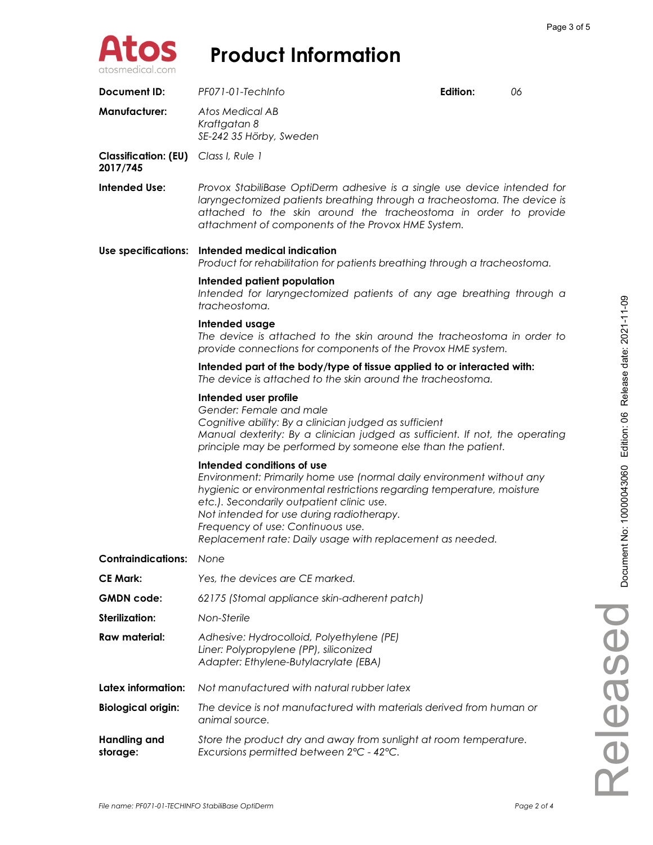

| Document ID:                                     | PF071-01-TechInfo                                                                                                                                                                                                                                                                                                                                                         | Edition: | 06 |  |
|--------------------------------------------------|---------------------------------------------------------------------------------------------------------------------------------------------------------------------------------------------------------------------------------------------------------------------------------------------------------------------------------------------------------------------------|----------|----|--|
| <b>Manufacturer:</b>                             | Atos Medical AB<br>Kraftgatan 8<br>SE-242 35 Hörby, Sweden                                                                                                                                                                                                                                                                                                                |          |    |  |
| Classification: (EU) Class I, Rule 1<br>2017/745 |                                                                                                                                                                                                                                                                                                                                                                           |          |    |  |
| Intended Use:                                    | Provox StabiliBase OptiDerm adhesive is a single use device intended for<br>laryngectomized patients breathing through a tracheostoma. The device is<br>attached to the skin around the tracheostoma in order to provide<br>attachment of components of the Provox HME System.                                                                                            |          |    |  |
| Use specifications:                              | Intended medical indication<br>Product for rehabilitation for patients breathing through a tracheostoma.                                                                                                                                                                                                                                                                  |          |    |  |
|                                                  | Intended patient population<br>Intended for laryngectomized patients of any age breathing through a<br>tracheostoma.                                                                                                                                                                                                                                                      |          |    |  |
|                                                  | Intended usage<br>The device is attached to the skin around the tracheostoma in order to<br>provide connections for components of the Provox HME system.                                                                                                                                                                                                                  |          |    |  |
|                                                  | Intended part of the body/type of tissue applied to or interacted with:<br>The device is attached to the skin around the tracheostoma.                                                                                                                                                                                                                                    |          |    |  |
|                                                  | Intended user profile<br>Gender: Female and male<br>Cognitive ability: By a clinician judged as sufficient<br>Manual dexterity: By a clinician judged as sufficient. If not, the operating<br>principle may be performed by someone else than the patient.                                                                                                                |          |    |  |
|                                                  | Intended conditions of use<br>Environment: Primarily home use (normal daily environment without any<br>hygienic or environmental restrictions regarding temperature, moisture<br>etc.). Secondarily outpatient clinic use.<br>Not intended for use during radiotherapy.<br>Frequency of use: Continuous use.<br>Replacement rate: Daily usage with replacement as needed. |          |    |  |
| <b>Contraindications:</b>                        | None                                                                                                                                                                                                                                                                                                                                                                      |          |    |  |
| <b>CE Mark:</b>                                  | Yes, the devices are CE marked.                                                                                                                                                                                                                                                                                                                                           |          |    |  |
| <b>GMDN</b> code:                                | 62175 (Stomal appliance skin-adherent patch)                                                                                                                                                                                                                                                                                                                              |          |    |  |
| Sterilization:                                   | Non-Sterile                                                                                                                                                                                                                                                                                                                                                               |          |    |  |
| Raw material:                                    | Adhesive: Hydrocolloid, Polyethylene (PE)<br>Liner: Polypropylene (PP), siliconized<br>Adapter: Ethylene-Butylacrylate (EBA)                                                                                                                                                                                                                                              |          |    |  |
| Latex information:                               | Not manufactured with natural rubber latex                                                                                                                                                                                                                                                                                                                                |          |    |  |
| <b>Biological origin:</b>                        | The device is not manufactured with materials derived from human or<br>animal source.                                                                                                                                                                                                                                                                                     |          |    |  |
| <b>Handling and</b><br>storage:                  | Store the product dry and away from sunlight at room temperature.<br>Excursions permitted between 2°C - 42°C.                                                                                                                                                                                                                                                             |          |    |  |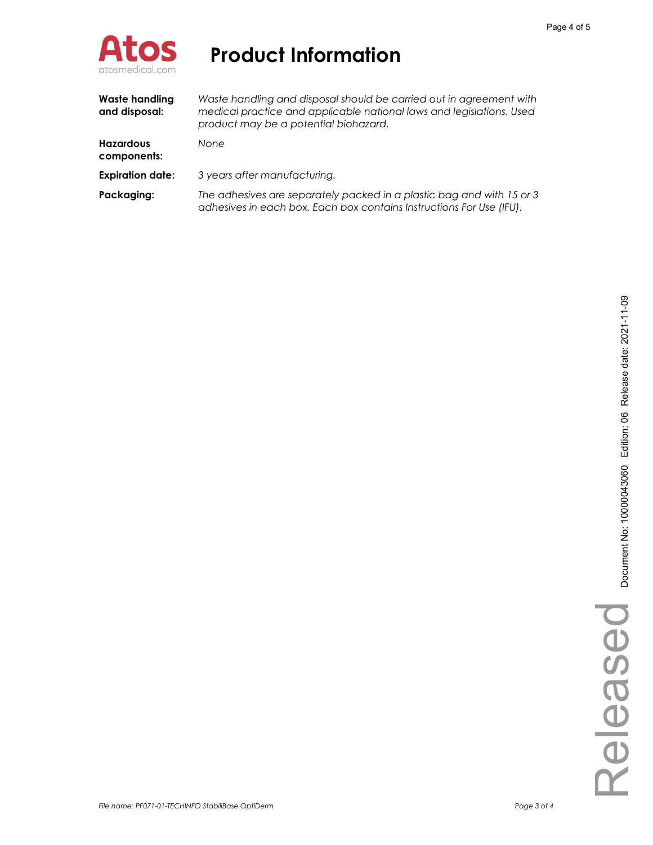

| Waste handling<br>and disposal: | Waste handling and disposal should be carried out in agreement with<br>medical practice and applicable national laws and legislations. Used<br>product may be a potential biohazard. |
|---------------------------------|--------------------------------------------------------------------------------------------------------------------------------------------------------------------------------------|
| <b>Hazardous</b><br>components: | None                                                                                                                                                                                 |
| <b>Expiration date:</b>         | 3 years after manufacturing.                                                                                                                                                         |
| Packaging:                      | The adhesives are separately packed in a plastic bag and with 15 or 3<br>adhesives in each box. Each box contains Instructions For Use (IFU).                                        |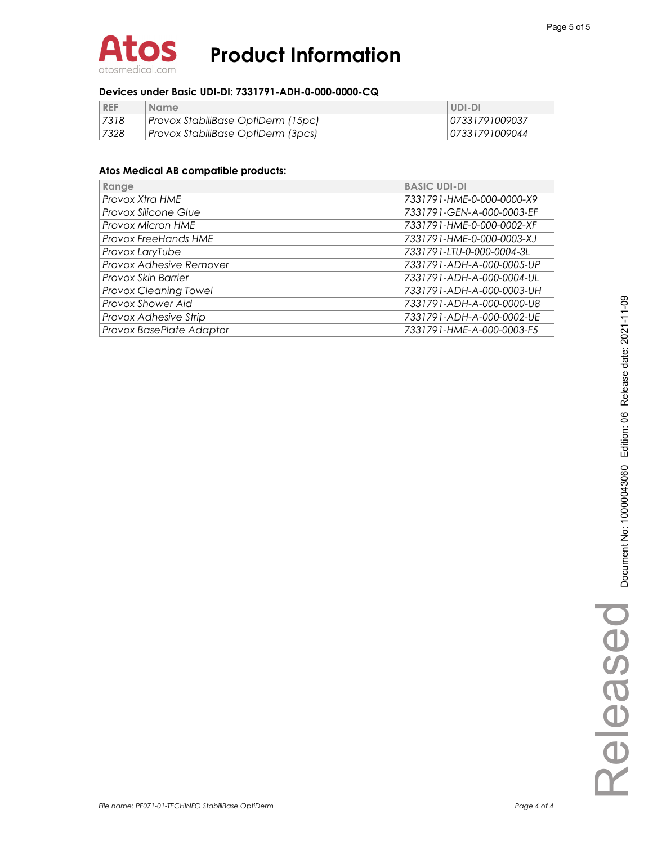

#### **Devices under Basic UDI-DI: 7331791-ADH-0-000-0000-CQ**

| <b>REF</b> | <b>Name</b>                        | UDI-DI         |
|------------|------------------------------------|----------------|
| 7318       | Provox StabiliBase OptiDerm (15pc) | 07331791009037 |
| 7328       | Provox StabiliBase OptiDerm (3pcs) | 07331791009044 |

| Range                        | <b>BASIC UDI-DI</b>       |
|------------------------------|---------------------------|
| Provox Xtra HME              | 7331791-HME-0-000-0000-X9 |
| <b>Provox Silicone Glue</b>  | 7331791-GEN-A-000-0003-EF |
| <b>Provox Micron HME</b>     | 7331791-HME-0-000-0002-XF |
| <b>Provox FreeHands HME</b>  | 7331791-HME-0-000-0003-XJ |
| Provox LaryTube              | 7331791-LTU-0-000-0004-3L |
| Provox Adhesive Remover      | 7331791-ADH-A-000-0005-UP |
| Provox Skin Barrier          | 7331791-ADH-A-000-0004-UL |
| <b>Provox Cleaning Towel</b> | 7331791-ADH-A-000-0003-UH |
| Provox Shower Aid            | 7331791-ADH-A-000-0000-U8 |
| Provox Adhesive Strip        | 7331791-ADH-A-000-0002-UE |
| Provox BasePlate Adaptor     | 7331791-HME-A-000-0003-F5 |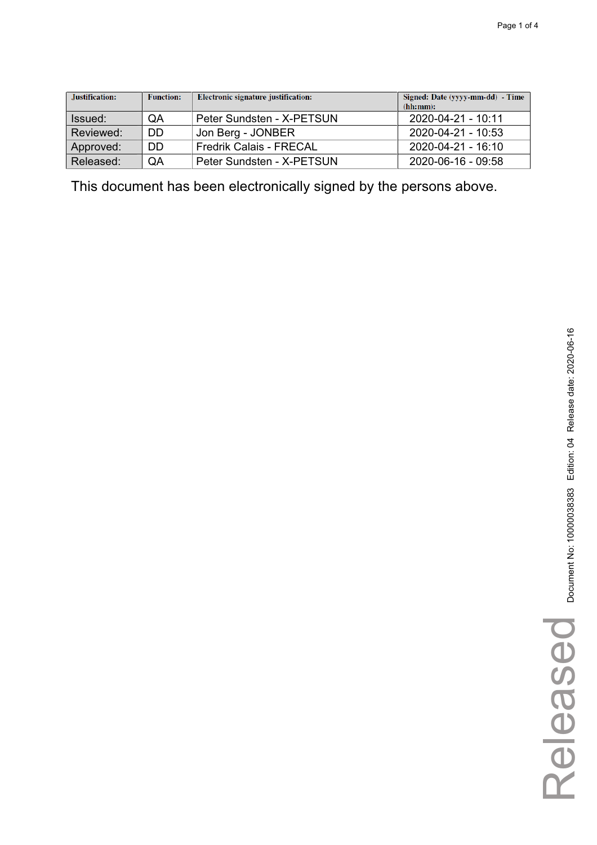| Justification: | <b>Function:</b> | <b>Electronic signature justification:</b> | Signed: Date (yyyy-mm-dd) - Time<br>(hh:mm): |
|----------------|------------------|--------------------------------------------|----------------------------------------------|
| Issued:        | QA               | Peter Sundsten - X-PETSUN                  | 2020-04-21 - 10:11                           |
| Reviewed:      | DD               | Jon Berg - JONBER                          | $2020 - 04 - 21 - 10:53$                     |
| Approved:      | DD               | <b>Fredrik Calais - FRECAL</b>             | 2020-04-21 - 16:10                           |
| Released:      | QA               | Peter Sundsten - X-PETSUN                  | 2020-06-16 - 09:58                           |

Released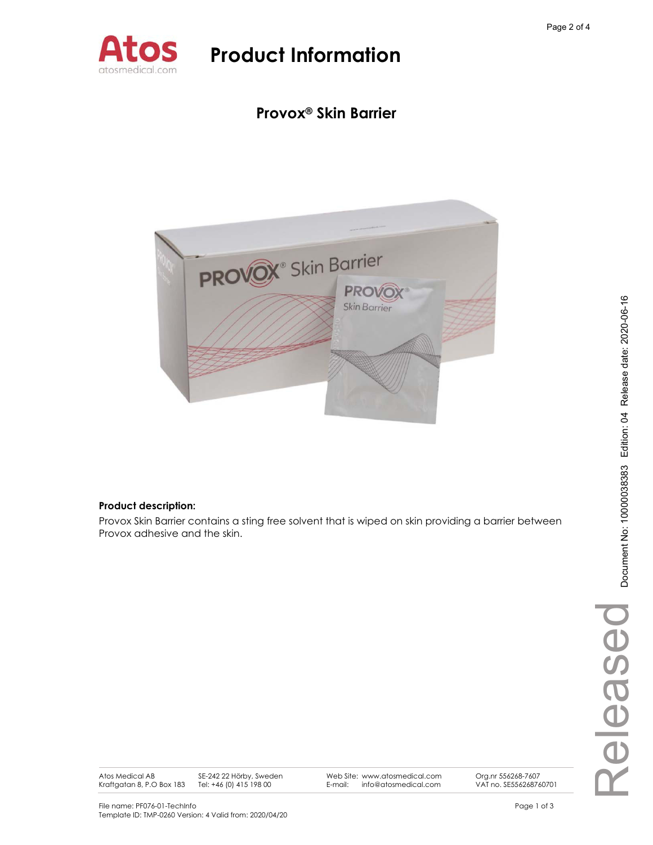

### **Provox® Skin Barrier**



### **Product description:**

Provox Skin Barrier contains a sting free solvent that is wiped on skin providing a barrier between Provox adhesive and the skin.

Atos Medical AB Kraftgatan 8, P.O Box 183 SE-242 22 Hörby, Sweden Tel: +46 (0) 415 198 00

Web Site: www.atosmedical.com E-mail: info@atosmedical.com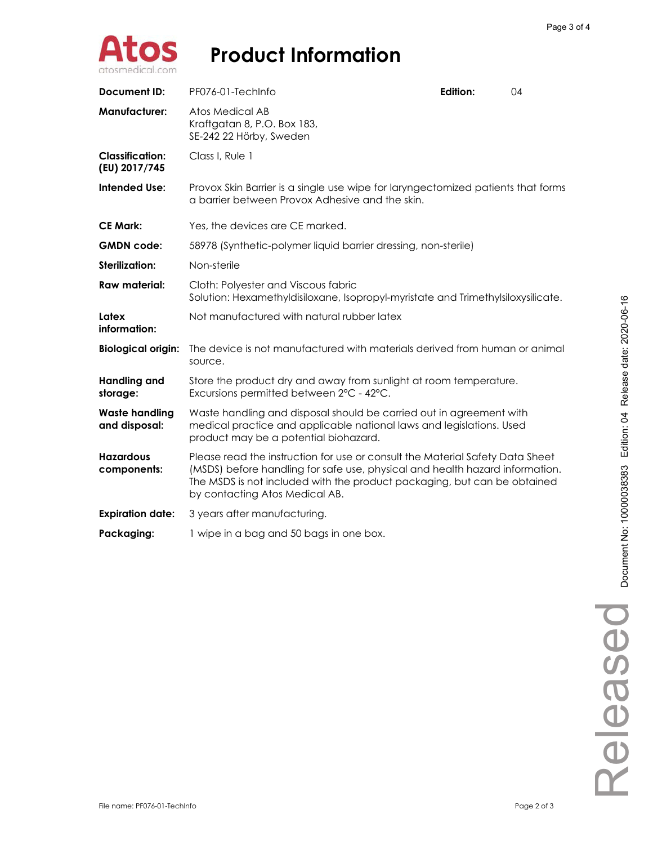

| <b>Document ID:</b>                     | PF076-01-TechInfo                                                                                                                                                                                                                                                           | Edition: | 04 |  |
|-----------------------------------------|-----------------------------------------------------------------------------------------------------------------------------------------------------------------------------------------------------------------------------------------------------------------------------|----------|----|--|
| <b>Manufacturer:</b>                    | Atos Medical AB<br>Kraftgatan 8, P.O. Box 183,<br>SE-242 22 Hörby, Sweden                                                                                                                                                                                                   |          |    |  |
| <b>Classification:</b><br>(EU) 2017/745 | Class I, Rule 1                                                                                                                                                                                                                                                             |          |    |  |
| <b>Intended Use:</b>                    | Provox Skin Barrier is a single use wipe for laryngectomized patients that forms<br>a barrier between Provox Adhesive and the skin.                                                                                                                                         |          |    |  |
| <b>CE Mark:</b>                         | Yes, the devices are CE marked.                                                                                                                                                                                                                                             |          |    |  |
| <b>GMDN</b> code:                       | 58978 (Synthetic-polymer liquid barrier dressing, non-sterile)                                                                                                                                                                                                              |          |    |  |
| <b>Sterilization:</b>                   | Non-sterile                                                                                                                                                                                                                                                                 |          |    |  |
| <b>Raw material:</b>                    | Cloth: Polyester and Viscous fabric<br>Solution: Hexamethyldisiloxane, Isopropyl-myristate and Trimethylsiloxysilicate.                                                                                                                                                     |          |    |  |
| Latex<br>information:                   | Not manufactured with natural rubber latex                                                                                                                                                                                                                                  |          |    |  |
| <b>Biological origin:</b>               | The device is not manufactured with materials derived from human or animal<br>source.                                                                                                                                                                                       |          |    |  |
| <b>Handling and</b><br>storage:         | Store the product dry and away from sunlight at room temperature.<br>Excursions permitted between 2°C - 42°C.                                                                                                                                                               |          |    |  |
| <b>Waste handling</b><br>and disposal:  | Waste handling and disposal should be carried out in agreement with<br>medical practice and applicable national laws and legislations. Used<br>product may be a potential biohazard.                                                                                        |          |    |  |
| <b>Hazardous</b><br>components:         | Please read the instruction for use or consult the Material Safety Data Sheet<br>(MSDS) before handling for safe use, physical and health hazard information.<br>The MSDS is not included with the product packaging, but can be obtained<br>by contacting Atos Medical AB. |          |    |  |
| <b>Expiration date:</b>                 | 3 years after manufacturing.                                                                                                                                                                                                                                                |          |    |  |
| Packaging:                              | 1 wipe in a bag and 50 bags in one box.                                                                                                                                                                                                                                     |          |    |  |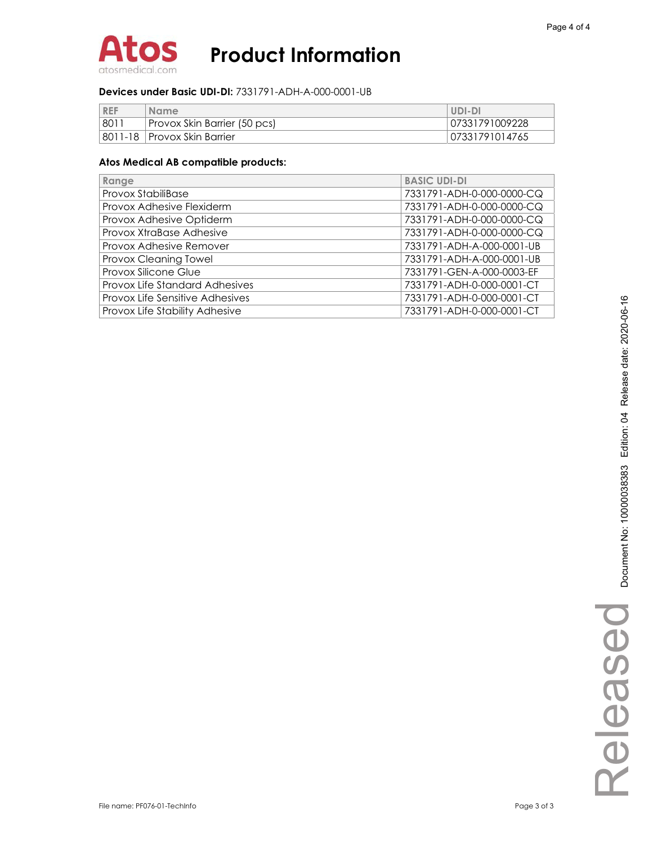

#### **Devices under Basic UDI-DI:** 7331791-ADH-A-000-0001-UB

| <b>REF</b> | <b>Name</b>                   | UDI-DI         |
|------------|-------------------------------|----------------|
| . 801'     | Provox Skin Barrier (50 pcs)  | 07331791009228 |
|            | 8011-18   Provox Skin Barrier | 07331791014765 |

| Range                           | <b>BASIC UDI-DI</b>       |
|---------------------------------|---------------------------|
| Provox StabiliBase              | 7331791-ADH-0-000-0000-CQ |
| Provox Adhesive Flexiderm       | 7331791-ADH-0-000-0000-CQ |
| Provox Adhesive Optiderm        | 7331791-ADH-0-000-0000-CQ |
| Provox XtraBase Adhesive        | 7331791-ADH-0-000-0000-CQ |
| Provox Adhesive Remover         | 7331791-ADH-A-000-0001-UB |
| Provox Cleaning Towel           | 7331791-ADH-A-000-0001-UB |
| Provox Silicone Glue            | 7331791-GEN-A-000-0003-EF |
| Provox Life Standard Adhesives  | 7331791-ADH-0-000-0001-CT |
| Provox Life Sensitive Adhesives | 7331791-ADH-0-000-0001-CT |
| Provox Life Stability Adhesive  | 7331791-ADH-0-000-0001-CT |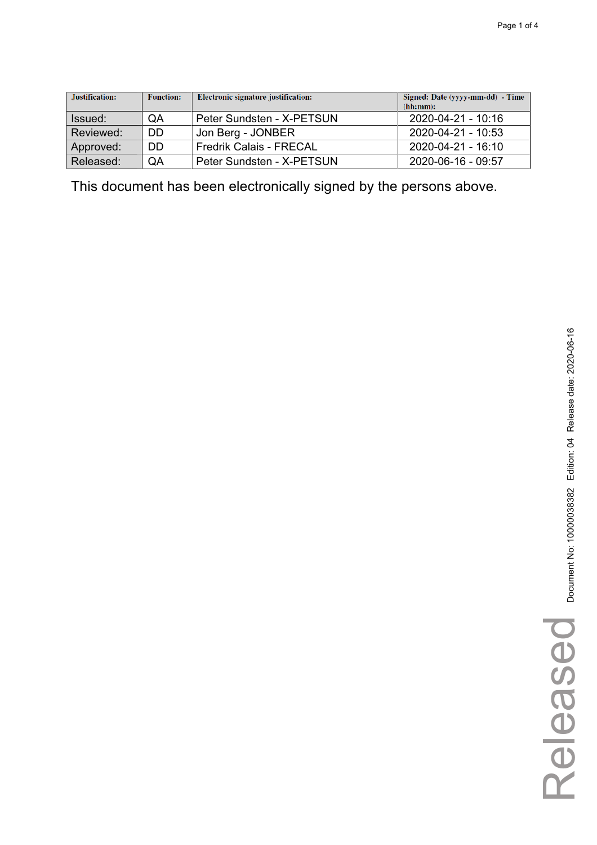| Justification: | <b>Function:</b> | Electronic signature justification: | Signed: Date (yyyy-mm-dd) - Time<br>(hh:mm): |
|----------------|------------------|-------------------------------------|----------------------------------------------|
| Issued:        | QA               | Peter Sundsten - X-PETSUN           | 2020-04-21 - 10:16                           |
| Reviewed:      | DD               | Jon Berg - JONBER                   | 2020-04-21 - 10:53                           |
| Approved:      | DD               | <b>Fredrik Calais - FRECAL</b>      | 2020-04-21 - 16:10                           |
| Released:      | QA               | Peter Sundsten - X-PETSUN           | 2020-06-16 - 09:57                           |

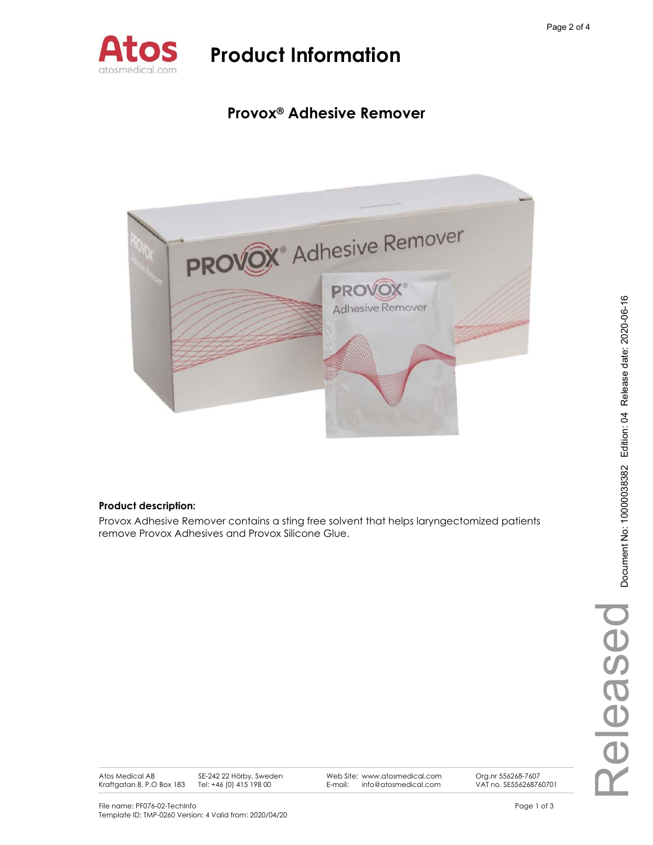

### **Provox® Adhesive Remover**



### **Product description:**

Provox Adhesive Remover contains a sting free solvent that helps laryngectomized patients remove Provox Adhesives and Provox Silicone Glue.

Atos Medical AB Kraftgatan 8, P.O Box 183 SE-242 22 Hörby, Sweden Tel: +46 (0) 415 198 00

Web Site: www.atosmedical.com E-mail: info@atosmedical.com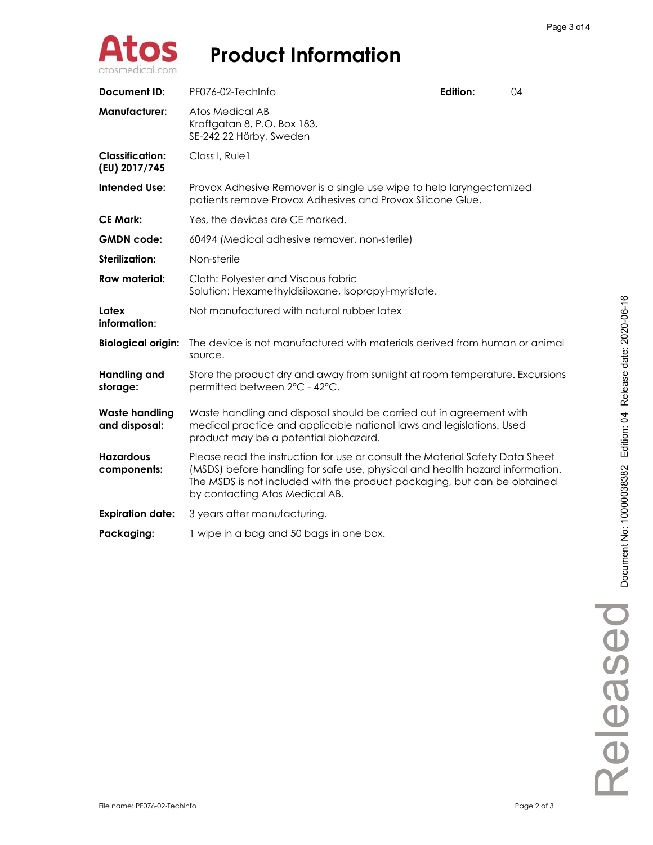

| Document ID:                            | PF076-02-TechInfo                                                                                                                                                                                                                                                           | Edition: | 04 |  |  |
|-----------------------------------------|-----------------------------------------------------------------------------------------------------------------------------------------------------------------------------------------------------------------------------------------------------------------------------|----------|----|--|--|
| <b>Manufacturer:</b>                    | Atos Medical AB<br>Kraftgatan 8, P.O. Box 183,<br>SE-242 22 Hörby, Sweden                                                                                                                                                                                                   |          |    |  |  |
| <b>Classification:</b><br>(EU) 2017/745 | Class I, Rule1                                                                                                                                                                                                                                                              |          |    |  |  |
| <b>Intended Use:</b>                    | Provox Adhesive Remover is a single use wipe to help laryngectomized<br>patients remove Provox Adhesives and Provox Silicone Glue.                                                                                                                                          |          |    |  |  |
| <b>CE Mark:</b>                         | Yes, the devices are CE marked.                                                                                                                                                                                                                                             |          |    |  |  |
| <b>GMDN</b> code:                       | 60494 (Medical adhesive remover, non-sterile)                                                                                                                                                                                                                               |          |    |  |  |
| <b>Sterilization:</b>                   | Non-sterile                                                                                                                                                                                                                                                                 |          |    |  |  |
| <b>Raw material:</b>                    | Cloth: Polyester and Viscous fabric<br>Solution: Hexamethyldisiloxane, Isopropyl-myristate.                                                                                                                                                                                 |          |    |  |  |
| Latex<br>information:                   | Not manufactured with natural rubber latex                                                                                                                                                                                                                                  |          |    |  |  |
| <b>Biological origin:</b>               | The device is not manufactured with materials derived from human or animal<br>source.                                                                                                                                                                                       |          |    |  |  |
| <b>Handling and</b><br>storage:         | Store the product dry and away from sunlight at room temperature. Excursions<br>permitted between 2°C - 42°C.                                                                                                                                                               |          |    |  |  |
| <b>Waste handling</b><br>and disposal:  | Waste handling and disposal should be carried out in agreement with<br>medical practice and applicable national laws and legislations. Used<br>product may be a potential biohazard.                                                                                        |          |    |  |  |
| <b>Hazardous</b><br>components:         | Please read the instruction for use or consult the Material Safety Data Sheet<br>(MSDS) before handling for safe use, physical and health hazard information.<br>The MSDS is not included with the product packaging, but can be obtained<br>by contacting Atos Medical AB. |          |    |  |  |
| <b>Expiration date:</b>                 | 3 years after manufacturing.                                                                                                                                                                                                                                                |          |    |  |  |
| Packaging:                              | 1 wipe in a bag and 50 bags in one box.                                                                                                                                                                                                                                     |          |    |  |  |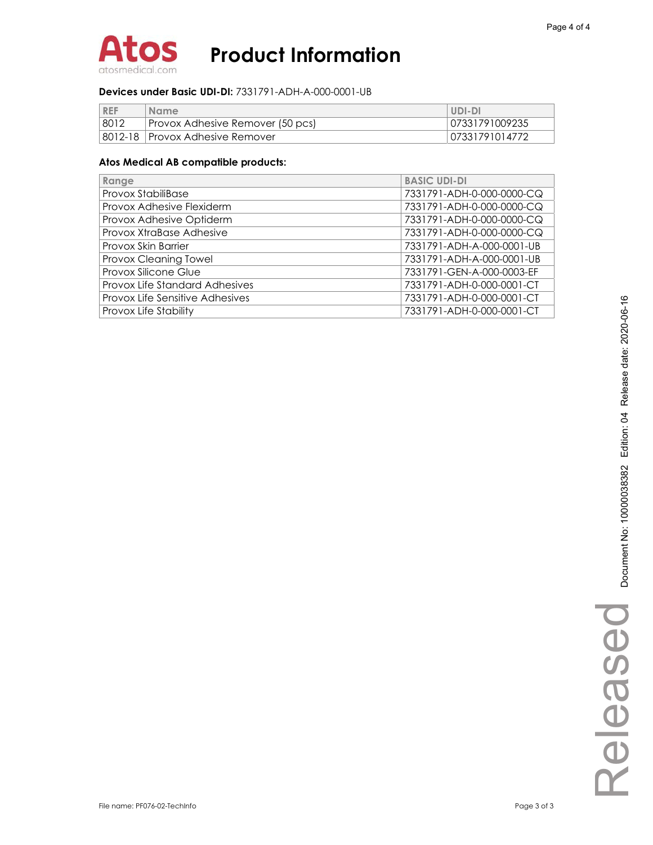

#### **Devices under Basic UDI-DI:** 7331791-ADH-A-000-0001-UB

| <b>REF</b> | <b>Name</b>                       | UDI-DI         |
|------------|-----------------------------------|----------------|
| 8012       | Provox Adhesive Remover (50 pcs)  | 07331791009235 |
|            | 8012-18   Provox Adhesive Remover | 07331791014772 |

| Range                           | <b>BASIC UDI-DI</b>       |
|---------------------------------|---------------------------|
| Provox StabiliBase              | 7331791-ADH-0-000-0000-CQ |
| Provox Adhesive Flexiderm       | 7331791-ADH-0-000-0000-CQ |
| Provox Adhesive Optiderm        | 7331791-ADH-0-000-0000-CQ |
| Provox XtraBase Adhesive        | 7331791-ADH-0-000-0000-CQ |
| Provox Skin Barrier             | 7331791-ADH-A-000-0001-UB |
| Provox Cleaning Towel           | 7331791-ADH-A-000-0001-UB |
| Provox Silicone Glue            | 7331791-GEN-A-000-0003-EF |
| Provox Life Standard Adhesives  | 7331791-ADH-0-000-0001-CT |
| Provox Life Sensitive Adhesives | 7331791-ADH-0-000-0001-CT |
| Provox Life Stability           | 7331791-ADH-0-000-0001-CT |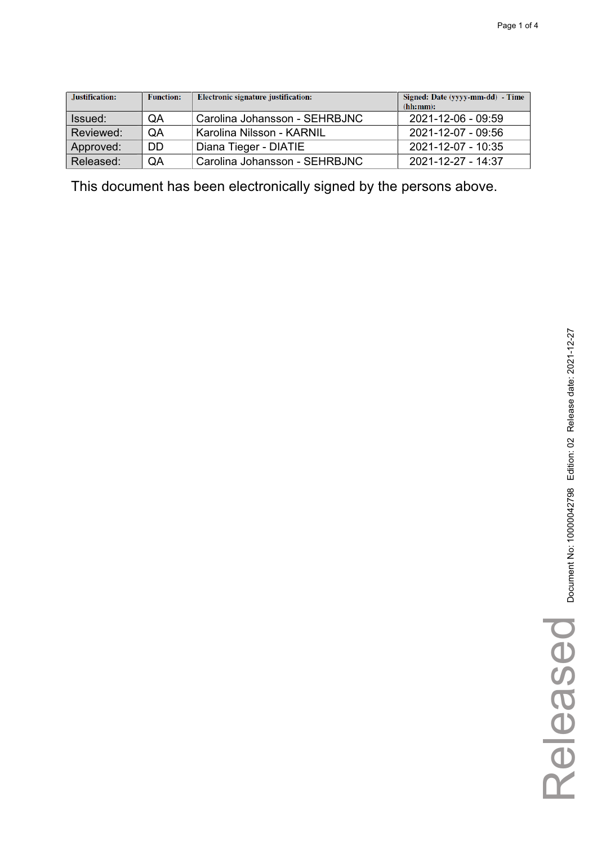| Justification: | <b>Function:</b> | Electronic signature justification: | Signed: Date (yyyy-mm-dd) - Time<br>(hh:mm): |
|----------------|------------------|-------------------------------------|----------------------------------------------|
| Issued:        | QA               | Carolina Johansson - SEHRBJNC       | 2021-12-06 - 09:59                           |
| Reviewed:      | QA               | Karolina Nilsson - KARNIL           | 2021-12-07 - 09:56                           |
| Approved:      | DD               | Diana Tieger - DIATIE               | 2021-12-07 - 10:35                           |
| Released:      | QA               | Carolina Johansson - SEHRBJNC       | $2021 - 12 - 27 - 14.37$                     |

Released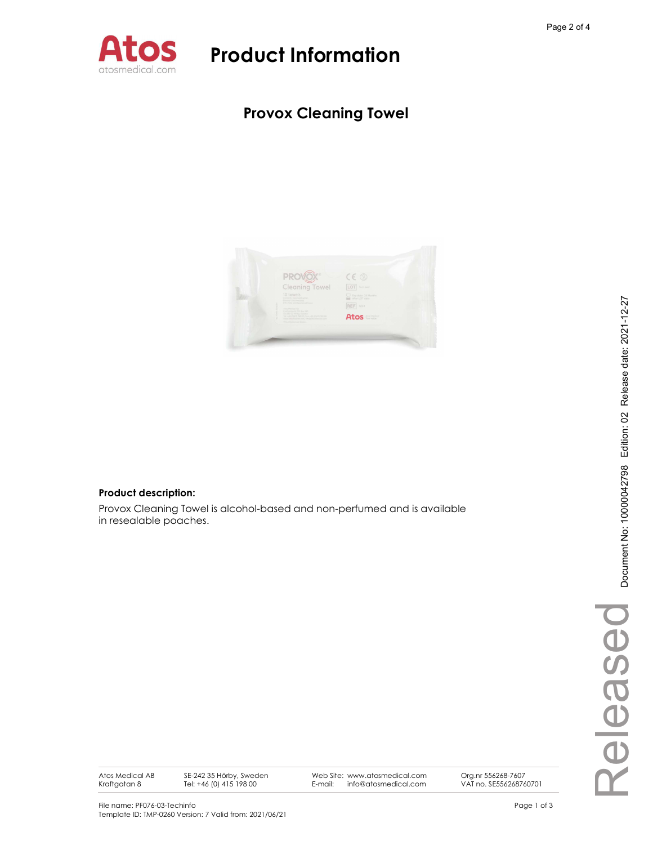

### Provox Cleaning Towel



#### Product description:

Provox Cleaning Towel is alcohol-based and non-perfumed and is available in resealable poaches.

Atos Medical AB Kraftgatan 8

SE-242 35 Hörby, Sweden Tel: +46 (0) 415 198 00

Web Site: www.atosmedical.com<br>E-mail: info@atosmedical.com E-mail: info@atosmedical.com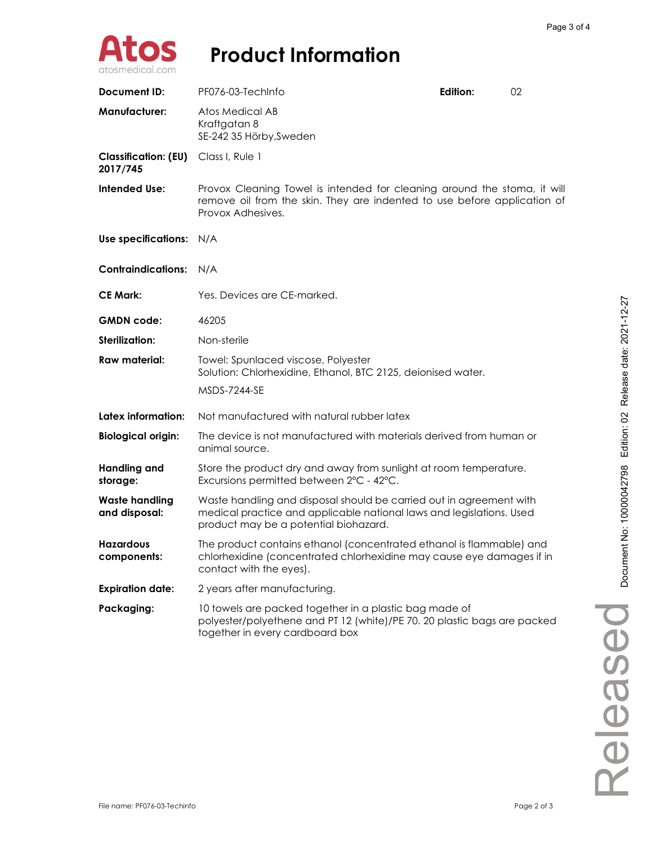

| <b>Document ID:</b>                     | PF076-03-TechInfo                                                                                                                                                                    | Edition: | 02 |
|-----------------------------------------|--------------------------------------------------------------------------------------------------------------------------------------------------------------------------------------|----------|----|
| <b>Manufacturer:</b>                    | Atos Medical AB<br>Kraftgatan 8<br>SE-242 35 Hörby, Sweden                                                                                                                           |          |    |
| <b>Classification: (EU)</b><br>2017/745 | Class I, Rule 1                                                                                                                                                                      |          |    |
| <b>Intended Use:</b>                    | Provox Cleaning Towel is intended for cleaning around the stoma, it will<br>remove oil from the skin. They are indented to use before application of<br>Provox Adhesives.            |          |    |
| Use specifications: N/A                 |                                                                                                                                                                                      |          |    |
| <b>Contraindications:</b>               | N/A                                                                                                                                                                                  |          |    |
| <b>CE Mark:</b>                         | Yes. Devices are CE-marked.                                                                                                                                                          |          |    |
| <b>GMDN</b> code:                       | 46205                                                                                                                                                                                |          |    |
| <b>Sterilization:</b>                   | Non-sterile                                                                                                                                                                          |          |    |
| <b>Raw material:</b>                    | Towel: Spunlaced viscose, Polyester<br>Solution: Chlorhexidine, Ethanol, BTC 2125, deionised water.                                                                                  |          |    |
|                                         | <b>MSDS-7244-SE</b>                                                                                                                                                                  |          |    |
| Latex information:                      | Not manufactured with natural rubber latex                                                                                                                                           |          |    |
| <b>Biological origin:</b>               | The device is not manufactured with materials derived from human or<br>animal source.                                                                                                |          |    |
| <b>Handling and</b><br>storage:         | Store the product dry and away from sunlight at room temperature.<br>Excursions permitted between 2°C - 42°C.                                                                        |          |    |
| <b>Waste handling</b><br>and disposal:  | Waste handling and disposal should be carried out in agreement with<br>medical practice and applicable national laws and legislations. Used<br>product may be a potential biohazard. |          |    |
| <b>Hazardous</b><br>components:         | The product contains ethanol (concentrated ethanol is flammable) and<br>chlorhexidine (concentrated chlorhexidine may cause eye damages if in<br>contact with the eyes).             |          |    |
| <b>Expiration date:</b>                 | 2 years after manufacturing.                                                                                                                                                         |          |    |
| Packaging:                              | 10 towels are packed together in a plastic bag made of<br>polyester/polyethene and PT 12 (white)/PE 70. 20 plastic bags are packed<br>together in every cardboard box                |          |    |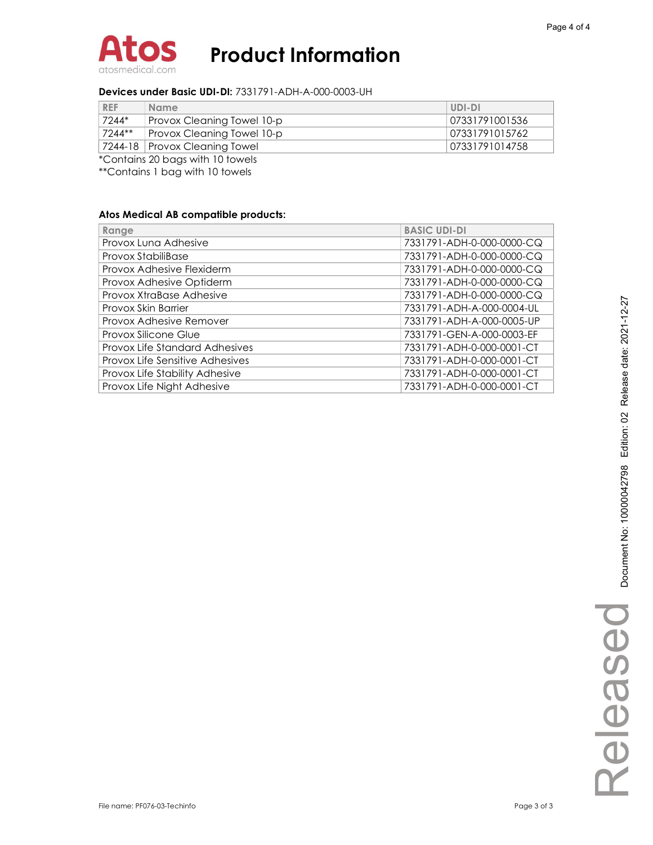

#### Devices under Basic UDI-DI: 7331791-ADH-A-000-0003-UH

| <b>REF</b> | <b>Name</b>                          | UDI-DI         |
|------------|--------------------------------------|----------------|
| 7244*      | Provox Cleaning Towel 10-p           | 07331791001536 |
| 7244**     | Provox Cleaning Towel 10-p           | 07331791015762 |
|            | 7244-18 Provox Cleaning Towel        | 07331791014758 |
|            | $*$ Cantains 20 homes with 10 towals |                |

\*Contains 20 bags with 10 towels

\*\*Contains 1 bag with 10 towels

| Range                           | <b>BASIC UDI-DI</b>       |
|---------------------------------|---------------------------|
| Provox Luna Adhesive            | 7331791-ADH-0-000-0000-CQ |
| Provox StabiliBase              | 7331791-ADH-0-000-0000-CQ |
| Provox Adhesive Flexiderm       | 7331791-ADH-0-000-0000-CQ |
| Provox Adhesive Optiderm        | 7331791-ADH-0-000-0000-CQ |
| Provox XtraBase Adhesive        | 7331791-ADH-0-000-0000-CQ |
| Provox Skin Barrier             | 7331791-ADH-A-000-0004-UL |
| Provox Adhesive Remover         | 7331791-ADH-A-000-0005-UP |
| Provox Silicone Glue            | 7331791-GEN-A-000-0003-EF |
| Provox Life Standard Adhesives  | 7331791-ADH-0-000-0001-CT |
| Provox Life Sensitive Adhesives | 7331791-ADH-0-000-0001-CT |
| Provox Life Stability Adhesive  | 7331791-ADH-0-000-0001-CT |
| Provox Life Night Adhesive      | 7331791-ADH-0-000-0001-CT |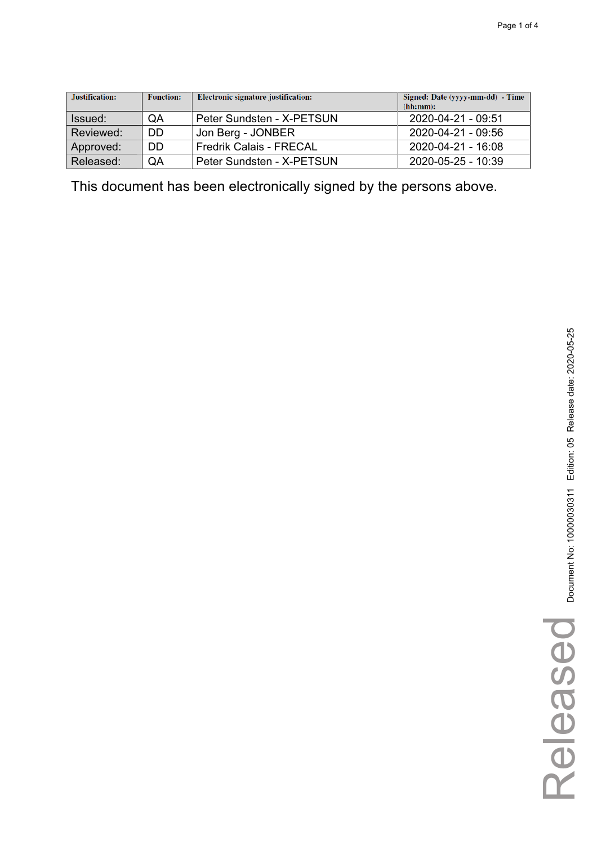| Justification: | <b>Function:</b> | Electronic signature justification: | Signed: Date (yyyy-mm-dd) - Time<br>(hh:mm): |
|----------------|------------------|-------------------------------------|----------------------------------------------|
| Issued:        | QA               | Peter Sundsten - X-PETSUN           | 2020-04-21 - 09:51                           |
| Reviewed:      | DD               | Jon Berg - JONBER                   | 2020-04-21 - 09:56                           |
| Approved:      | DD               | <b>Fredrik Calais - FRECAL</b>      | 2020-04-21 - 16:08                           |
| Released:      | QA               | Peter Sundsten - X-PETSUN           | $2020 - 05 - 25 - 10:39$                     |

Released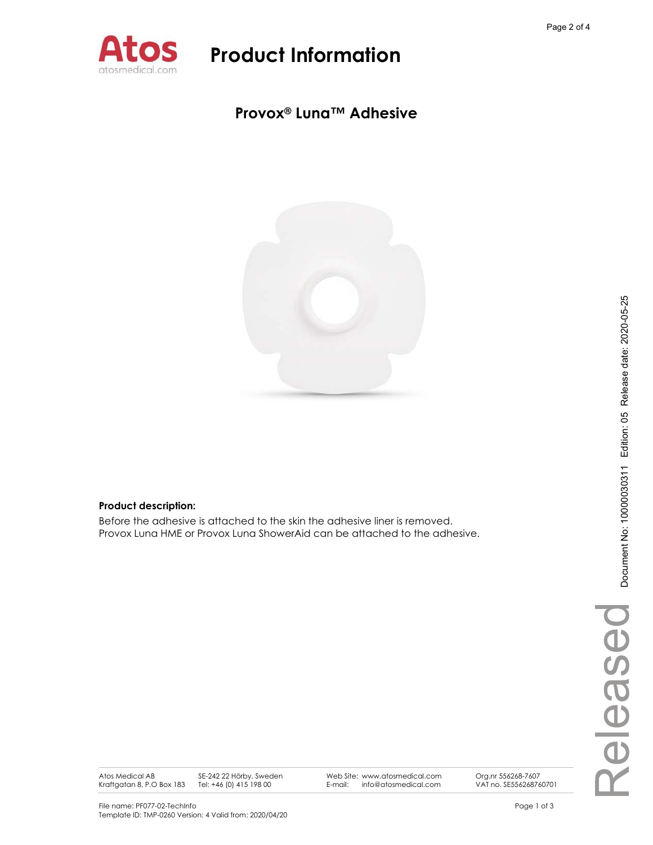

### **Provox® Luna™ Adhesive**



#### **Product description:**

Before the adhesive is attached to the skin the adhesive liner is removed. Provox Luna HME or Provox Luna ShowerAid can be attached to the adhesive.

Atos Medical AB Kraftgatan 8, P.O Box 183 SE-242 22 Hörby, Sweden Tel: +46 (0) 415 198 00

Web Site: www.atosmedical.com E-mail: info@atosmedical.com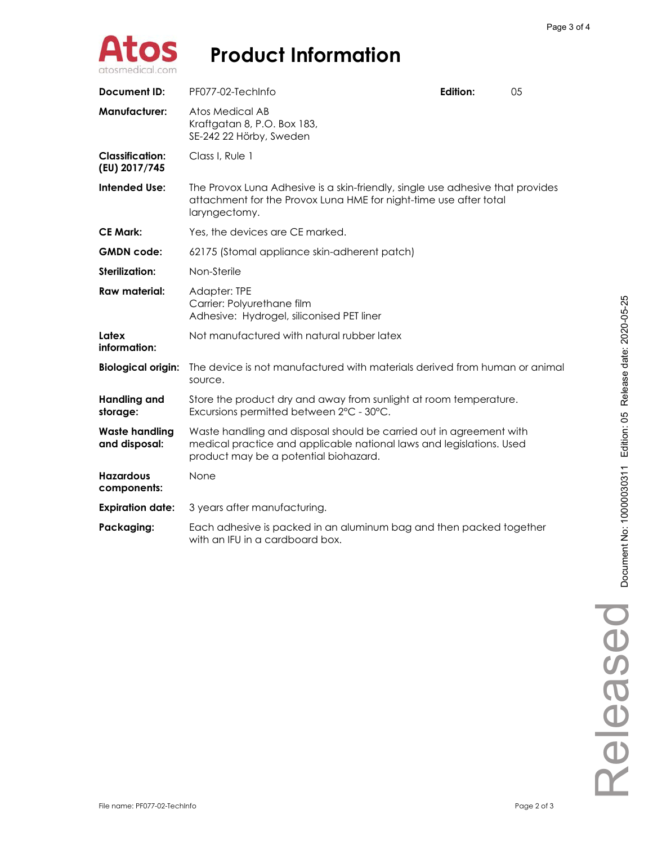

| Document ID:                            | PF077-02-TechInfo                                                                                                                                                                    | Edition: | 05 |
|-----------------------------------------|--------------------------------------------------------------------------------------------------------------------------------------------------------------------------------------|----------|----|
| <b>Manufacturer:</b>                    | Atos Medical AB<br>Kraftgatan 8, P.O. Box 183,<br>SE-242 22 Hörby, Sweden                                                                                                            |          |    |
| <b>Classification:</b><br>(EU) 2017/745 | Class I. Rule 1                                                                                                                                                                      |          |    |
| <b>Intended Use:</b>                    | The Provox Luna Adhesive is a skin-friendly, single use adhesive that provides<br>attachment for the Provox Luna HME for night-time use after total<br>laryngectomy.                 |          |    |
| <b>CE Mark:</b>                         | Yes, the devices are CE marked.                                                                                                                                                      |          |    |
| <b>GMDN</b> code:                       | 62175 (Stomal appliance skin-adherent patch)                                                                                                                                         |          |    |
| Sterilization:                          | Non-Sterile                                                                                                                                                                          |          |    |
| Raw material:                           | Adapter: TPE<br>Carrier: Polyurethane film<br>Adhesive: Hydrogel, siliconised PET liner                                                                                              |          |    |
| Latex<br>information:                   | Not manufactured with natural rubber latex                                                                                                                                           |          |    |
| <b>Biological origin:</b>               | The device is not manufactured with materials derived from human or animal<br>source.                                                                                                |          |    |
| <b>Handling and</b><br>storage:         | Store the product dry and away from sunlight at room temperature.<br>Excursions permitted between 2°C - 30°C.                                                                        |          |    |
| <b>Waste handling</b><br>and disposal:  | Waste handling and disposal should be carried out in agreement with<br>medical practice and applicable national laws and legislations. Used<br>product may be a potential biohazard. |          |    |
| <b>Hazardous</b><br>components:         | None                                                                                                                                                                                 |          |    |
| <b>Expiration date:</b>                 | 3 years after manufacturing.                                                                                                                                                         |          |    |
| Packaging:                              | Each adhesive is packed in an aluminum bag and then packed together<br>with an IFU in a cardboard box.                                                                               |          |    |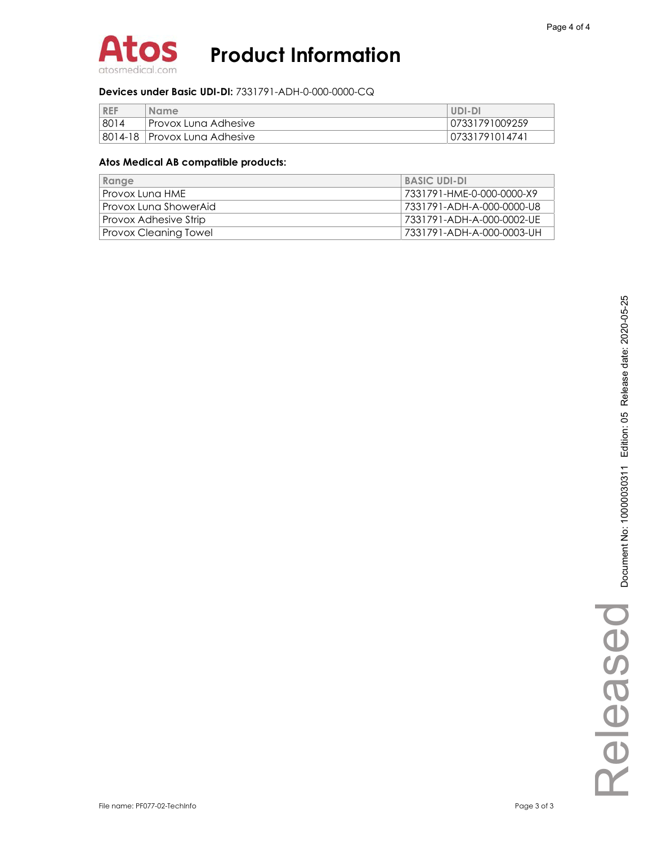

#### **Devices under Basic UDI-DI:** 7331791-ADH-0-000-0000-CQ

| <b>REF</b> | <b>Name</b>                    | UDI-DI         |
|------------|--------------------------------|----------------|
| 8014       | l Provox Luna Adhesive.        | 07331791009259 |
|            | 8014-18   Provox Luna Adhesive | 07331791014741 |

| Range                 | <b>BASIC UDI-DI</b>       |
|-----------------------|---------------------------|
| Provox Lung HME       | 7331791-HME-0-000-0000-X9 |
| Provox Luna ShowerAid | 7331791-ADH-A-000-0000-U8 |
| Provox Adhesive Strip | 7331791-ADH-A-000-0002-UE |
| Provox Cleaning Towel | 7331791-ADH-A-000-0003-UH |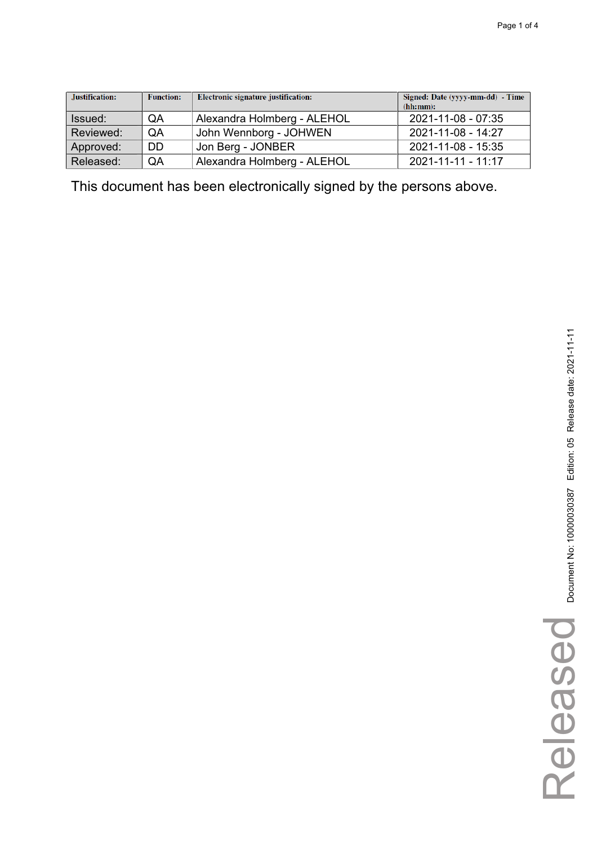| Justification: | <b>Function:</b> | Electronic signature justification: | Signed: Date (yyyy-mm-dd) - Time<br>(hh:mm): |
|----------------|------------------|-------------------------------------|----------------------------------------------|
| Issued:        | QA               | Alexandra Holmberg - ALEHOL         | 2021-11-08 - 07:35                           |
| Reviewed:      | QA               | John Wennborg - JOHWEN              | 2021-11-08 - 14:27                           |
| Approved:      | <b>DD</b>        | Jon Berg - JONBER                   | 2021-11-08 - 15:35                           |
| Released:      | QA               | Alexandra Holmberg - ALEHOL         | 2021-11-11 - 11:17                           |

Released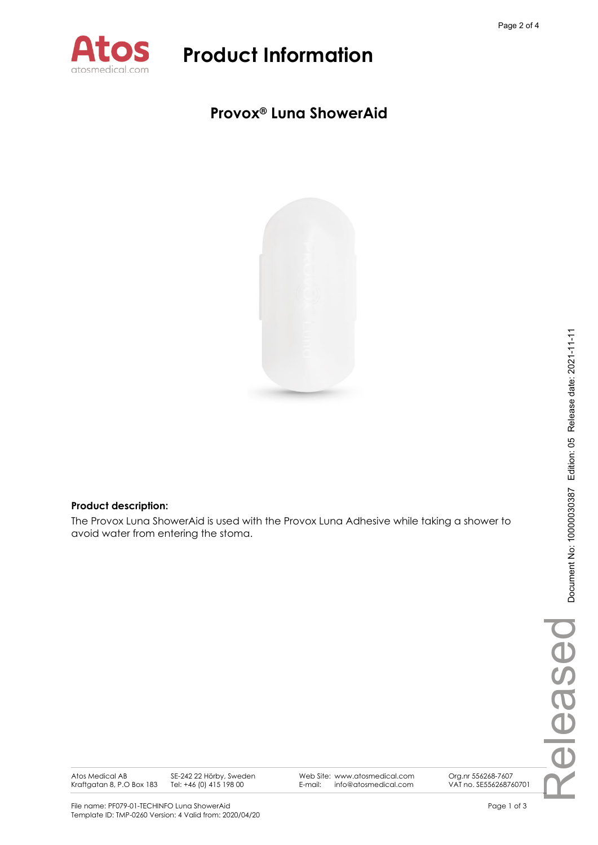

### **Provox® Luna ShowerAid**



### **Product description:**

The Provox Luna ShowerAid is used with the Provox Luna Adhesive while taking a shower to avoid water from entering the stoma.

Atos Medical AB Kraftgatan 8, P.O Box 183 SE-242 22 Hörby, Sweden Tel: +46 (0) 415 198 00

Web Site: www.atosmedical.com E-mail: info@atosmedical.com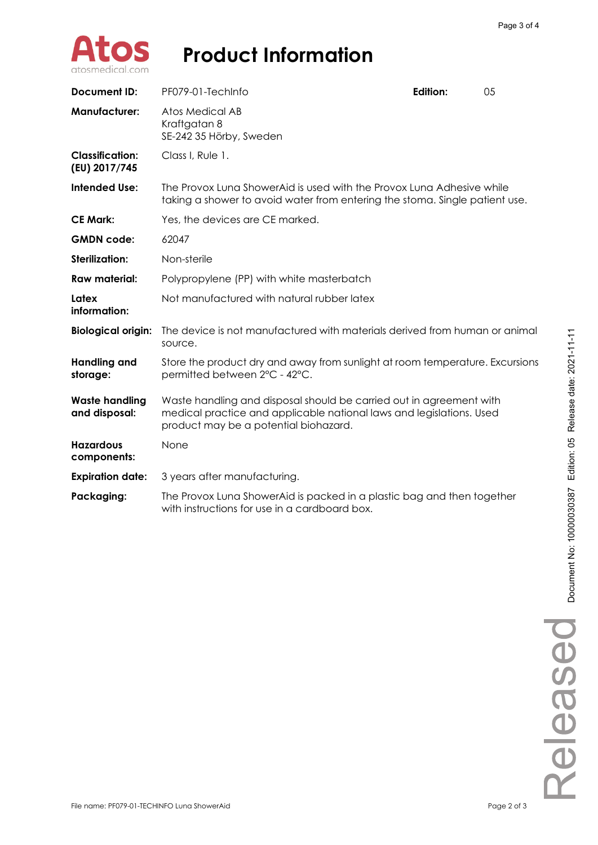

| Document ID:                            | PF079-01-TechInfo                                                                                                                                                                    | <b>Edition:</b> | 05 |
|-----------------------------------------|--------------------------------------------------------------------------------------------------------------------------------------------------------------------------------------|-----------------|----|
| <b>Manufacturer:</b>                    | Atos Medical AB<br>Kraftgatan 8<br>SE-242 35 Hörby, Sweden                                                                                                                           |                 |    |
| <b>Classification:</b><br>(EU) 2017/745 | Class I, Rule 1.                                                                                                                                                                     |                 |    |
| <b>Intended Use:</b>                    | The Provox Luna ShowerAid is used with the Provox Luna Adhesive while<br>taking a shower to avoid water from entering the stoma. Single patient use.                                 |                 |    |
| <b>CE Mark:</b>                         | Yes, the devices are CE marked.                                                                                                                                                      |                 |    |
| <b>GMDN</b> code:                       | 62047                                                                                                                                                                                |                 |    |
| <b>Sterilization:</b>                   | Non-sterile                                                                                                                                                                          |                 |    |
| <b>Raw material:</b>                    | Polypropylene (PP) with white masterbatch                                                                                                                                            |                 |    |
| Latex<br>information:                   | Not manufactured with natural rubber latex                                                                                                                                           |                 |    |
| <b>Biological origin:</b>               | The device is not manufactured with materials derived from human or animal<br>source.                                                                                                |                 |    |
| <b>Handling and</b><br>storage:         | Store the product dry and away from sunlight at room temperature. Excursions<br>permitted between 2°C - 42°C.                                                                        |                 |    |
| <b>Waste handling</b><br>and disposal:  | Waste handling and disposal should be carried out in agreement with<br>medical practice and applicable national laws and legislations. Used<br>product may be a potential biohazard. |                 |    |
| <b>Hazardous</b><br>components:         | None                                                                                                                                                                                 |                 |    |
| <b>Expiration date:</b>                 | 3 years after manufacturing.                                                                                                                                                         |                 |    |
| Packaging:                              | The Provox Luna ShowerAid is packed in a plastic bag and then together<br>with instructions for use in a cardboard box.                                                              |                 |    |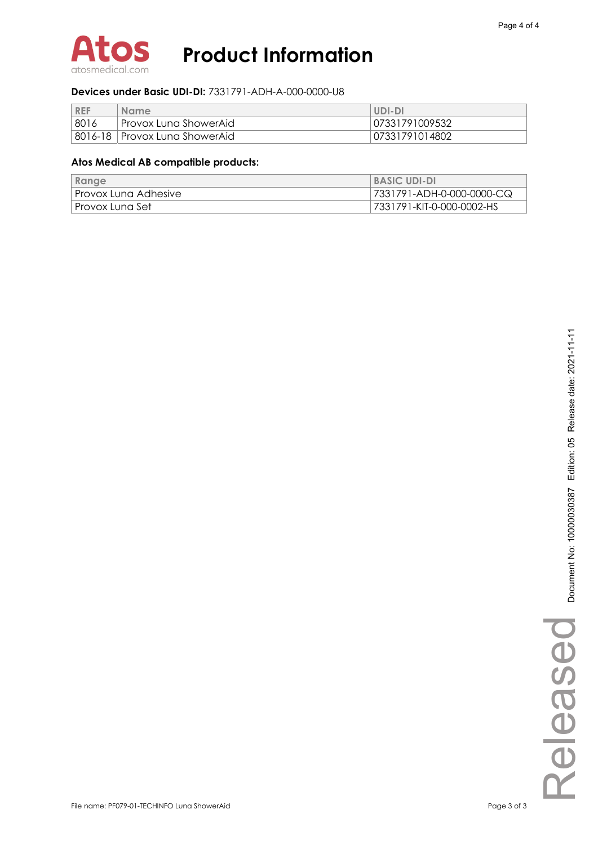

### **Devices under Basic UDI-DI:** 7331791-ADH-A-000-0000-U8

| <b>REF</b> | <b>Name</b>                     | UDI-DI         |
|------------|---------------------------------|----------------|
| 8016       | l Provox Luna ShowerAid         | 07331791009532 |
|            | 8016-18   Provox Luna ShowerAid | 07331791014802 |

| Range                  | <b>BASIC UDI-DI</b>       |
|------------------------|---------------------------|
| I Provox Luna Adhesive | 7331791-ADH-0-000-0000-CQ |
| ∣ Provox Luna Set−     | 7331791-KIT-0-000-0002-HS |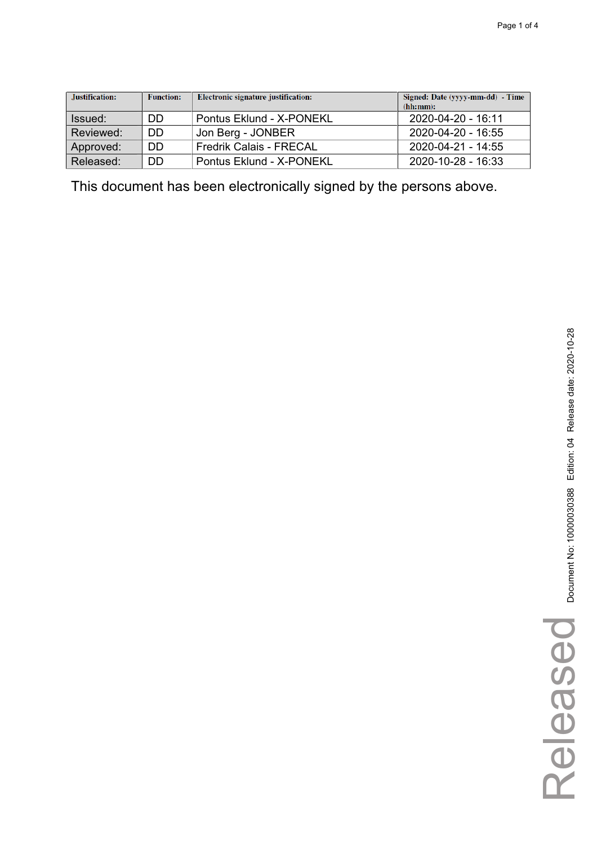| Justification: | <b>Function:</b> | Electronic signature justification: | Signed: Date (yyyy-mm-dd) - Time<br>(hh:mm): |
|----------------|------------------|-------------------------------------|----------------------------------------------|
| Issued:        | DD               | Pontus Eklund - X-PONEKL            | 2020-04-20 - 16:11                           |
| Reviewed:      | DD               | Jon Berg - JONBER                   | 2020-04-20 - 16:55                           |
| Approved:      | DD               | <b>Fredrik Calais - FRECAL</b>      | 2020-04-21 - 14:55                           |
| Released:      | DD               | Pontus Eklund - X-PONEKL            | $2020 - 10 - 28 - 16.33$                     |

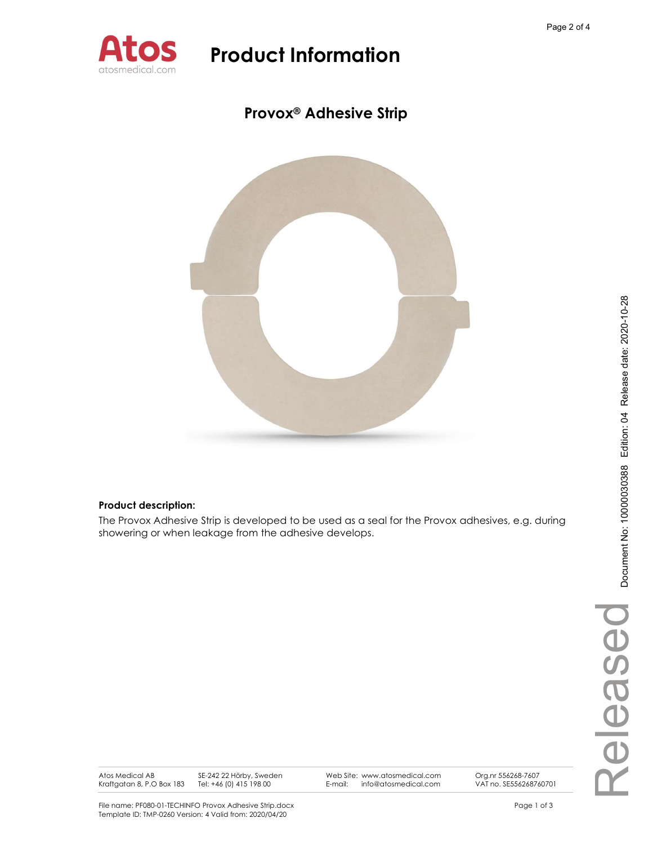

### Provox® Adhesive Strip



### Product description:

The Provox Adhesive Strip is developed to be used as a seal for the Provox adhesives, e.g. during showering or when leakage from the adhesive develops.

Atos Medical AB Kraftgatan 8, P.O Box 183

SE-242 22 Hörby, Sweden Tel: +46 (0) 415 198 00

Web Site: www.atosmedical.com<br>F-mail: info@atosmedical.com E-mail: info@atosmedical.com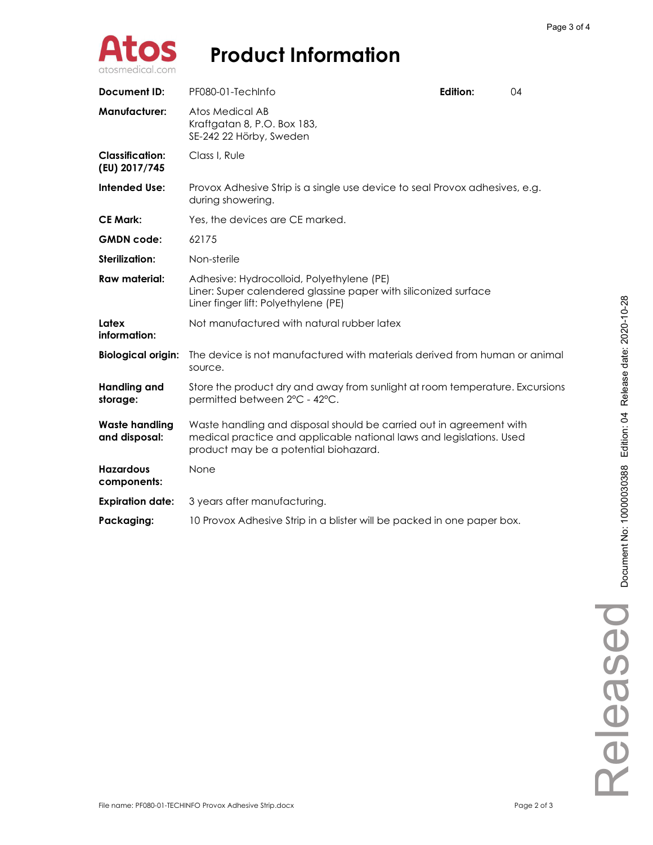

| <b>Document ID:</b>                     | PF080-01-TechInfo                                                                                                                                                                    | Edition: | 04 |
|-----------------------------------------|--------------------------------------------------------------------------------------------------------------------------------------------------------------------------------------|----------|----|
| <b>Manufacturer:</b>                    | Atos Medical AB<br>Kraftgatan 8, P.O. Box 183,<br>SE-242 22 Hörby, Sweden                                                                                                            |          |    |
| <b>Classification:</b><br>(EU) 2017/745 | Class I. Rule                                                                                                                                                                        |          |    |
| <b>Intended Use:</b>                    | Provox Adhesive Strip is a single use device to seal Provox adhesives, e.g.<br>during showering.                                                                                     |          |    |
| <b>CE Mark:</b>                         | Yes, the devices are CE marked.                                                                                                                                                      |          |    |
| <b>GMDN</b> code:                       | 62175                                                                                                                                                                                |          |    |
| Sterilization:                          | Non-sterile                                                                                                                                                                          |          |    |
| <b>Raw material:</b>                    | Adhesive: Hydrocolloid, Polyethylene (PE)<br>Liner: Super calendered glassine paper with siliconized surface<br>Liner finger lift: Polyethylene (PE)                                 |          |    |
| Latex<br>information:                   | Not manufactured with natural rubber latex                                                                                                                                           |          |    |
| <b>Biological origin:</b>               | The device is not manufactured with materials derived from human or animal<br>source.                                                                                                |          |    |
| Handling and<br>storage:                | Store the product dry and away from sunlight at room temperature. Excursions<br>permitted between 2°C - 42°C.                                                                        |          |    |
| <b>Waste handling</b><br>and disposal:  | Waste handling and disposal should be carried out in agreement with<br>medical practice and applicable national laws and legislations. Used<br>product may be a potential biohazard. |          |    |
| <b>Hazardous</b><br>components:         | None                                                                                                                                                                                 |          |    |
| <b>Expiration date:</b>                 | 3 years after manufacturing.                                                                                                                                                         |          |    |
| Packaging:                              | 10 Provox Adhesive Strip in a blister will be packed in one paper box.                                                                                                               |          |    |